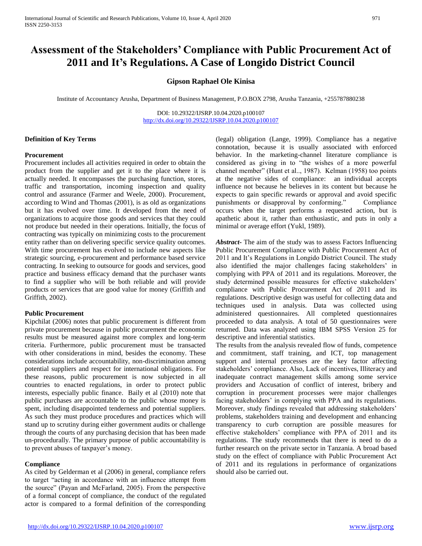# **Assessment of the Stakeholders' Compliance with Public Procurement Act of 2011 and It's Regulations. A Case of Longido District Council**

# **Gipson Raphael Ole Kinisa**

Institute of Accountancy Arusha, Department of Business Management, P.O.BOX 2798, Arusha Tanzania, +255787880238

DOI: 10.29322/IJSRP.10.04.2020.p100107 <http://dx.doi.org/10.29322/IJSRP.10.04.2020.p100107>

## **Definition of Key Terms**

### **Procurement**

Procurement includes all activities required in order to obtain the product from the supplier and get it to the place where it is actually needed. It encompasses the purchasing function, stores, traffic and transportation, incoming inspection and quality control and assurance (Farmer and Weele, 2000). Procurement, according to Wind and Thomas (2001), is as old as organizations but it has evolved over time. It developed from the need of organizations to acquire those goods and services that they could not produce but needed in their operations. Initially, the focus of contracting was typically on minimizing costs to the procurement entity rather than on delivering specific service quality outcomes. With time procurement has evolved to include new aspects like strategic sourcing, e-procurement and performance based service contracting. In seeking to outsource for goods and services, good practice and business efficacy demand that the purchaser wants to find a supplier who will be both reliable and will provide products or services that are good value for money (Griffith and Griffith, 2002).

### **Public Procurement**

Kipchilat (2006) notes that public procurement is different from private procurement because in public procurement the economic results must be measured against more complex and long-term criteria. Furthermore, public procurement must be transacted with other considerations in mind, besides the economy. These considerations include accountability, non-discrimination among potential suppliers and respect for international obligations. For these reasons, public procurement is now subjected in all countries to enacted regulations, in order to protect public interests, especially public finance. Baily et al (2010) note that public purchases are accountable to the public whose money is spent, including disappointed tenderness and potential suppliers. As such they must produce procedures and practices which will stand up to scrutiny during either government audits or challenge through the courts of any purchasing decision that has been made un-procedurally. The primary purpose of public accountability is to prevent abuses of taxpayer's money.

## **Compliance**

As cited by Gelderman et al (2006) in general, compliance refers to target "acting in accordance with an influence attempt from the source" (Payan and McFarland, 2005). From the perspective of a formal concept of compliance, the conduct of the regulated actor is compared to a formal definition of the corresponding

(legal) obligation (Lange, 1999). Compliance has a negative connotation, because it is usually associated with enforced behavior. In the marketing-channel literature compliance is considered as giving in to "the wishes of a more powerful channel member" (Hunt et al.., 1987). Kelman (1958) too points at the negative sides of compliance: an individual accepts influence not because he believes in its content but because he expects to gain specific rewards or approval and avoid specific punishments or disapproval by conforming." Compliance occurs when the target performs a requested action, but is apathetic about it, rather than enthusiastic, and puts in only a minimal or average effort (Yukl, 1989).

*Abstract***-** The aim of the study was to assess Factors Influencing Public Procurement Compliance with Public Procurement Act of 2011 and It's Regulations in Longido District Council. The study also identified the major challenges facing stakeholders' in complying with PPA of 2011 and its regulations. Moreover, the study determined possible measures for effective stakeholders' compliance with Public Procurement Act of 2011 and its regulations. Descriptive design was useful for collecting data and techniques used in analysis. Data was collected using administered questionnaires. All completed questionnaires proceeded to data analysis. A total of 50 questionnaires were returned. Data was analyzed using IBM SPSS Version 25 for descriptive and inferential statistics.

The results from the analysis revealed flow of funds, competence and commitment, staff training, and ICT, top management support and internal processes are the key factor affecting stakeholders' compliance. Also, Lack of incentives, Illiteracy and inadequate contract management skills among some service providers and Accusation of conflict of interest, bribery and corruption in procurement processes were major challenges facing stakeholders' in complying with PPA and its regulations. Moreover, study findings revealed that addressing stakeholders' problems, stakeholders training and development and enhancing transparency to curb corruption are possible measures for effective stakeholders' compliance with PPA of 2011 and its regulations. The study recommends that there is need to do a further research on the private sector in Tanzania. A broad based study on the effect of compliance with Public Procurement Act of 2011 and its regulations in performance of organizations should also be carried out.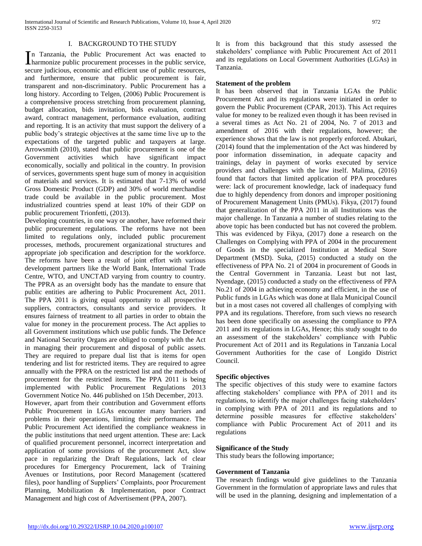### I. BACKGROUND TO THE STUDY

n Tanzania, the Public Procurement Act was enacted to In Tanzania, the Public Procurement Act was enacted to harmonize public procurement processes in the public service, secure judicious, economic and efficient use of public resources, and furthermore, ensure that public procurement is fair, transparent and non-discriminatory. Public Procurement has a long history. According to Telgen, (2006) Public Procurement is a comprehensive process stretching from procurement planning, budget allocation, bids invitation, bids evaluation, contract award, contract management, performance evaluation, auditing and reporting. It is an activity that must support the delivery of a public body's strategic objectives at the same time live up to the expectations of the targeted public and taxpayers at large. Arrowsmith (2010), stated that public procurement is one of the Government activities which have significant impact economically, socially and political in the country. In provision of services, governments spent huge sum of money in acquisition of materials and services. It is estimated that 7-13% of world Gross Domestic Product (GDP) and 30% of world merchandise trade could be available in the public procurement. Most industrialized countries spend at least 10% of their GDP on public procurement Trionfetti, (2013).

Developing countries, in one way or another, have reformed their public procurement regulations. The reforms have not been limited to regulations only, included public procurement processes, methods, procurement organizational structures and appropriate job specification and description for the workforce. The reforms have been a result of joint effort with various development partners like the World Bank, International Trade Centre, WTO, and UNCTAD varying from country to country. The PPRA as an oversight body has the mandate to ensure that public entities are adhering to Public Procurement Act, 2011. The PPA 2011 is giving equal opportunity to all prospective suppliers, contractors, consultants and service providers. It ensures fairness of treatment to all parties in order to obtain the value for money in the procurement process. The Act applies to all Government institutions which use public funds. The Defence and National Security Organs are obliged to comply with the Act in managing their procurement and disposal of public assets. They are required to prepare dual list that is items for open tendering and list for restricted items. They are required to agree annually with the PPRA on the restricted list and the methods of procurement for the restricted items. The PPA 2011 is being implemented with Public Procurement Regulations 2013 Government Notice No. 446 published on 15th December, 2013. However, apart from their contribution and Government efforts Public Procurement in LGAs encounter many barriers and problems in their operations, limiting their performance. The Public Procurement Act identified the compliance weakness in the public institutions that need urgent attention. These are: Lack of qualified procurement personnel, incorrect interpretation and application of some provisions of the procurement Act, slow pace in regularizing the Draft Regulations, lack of clear procedures for Emergency Procurement, lack of Training Avenues or Institutions, poor Record Management (scattered files), poor handling of Suppliers' Complaints, poor Procurement Planning, Mobilization & Implementation, poor Contract Management and high cost of Advertisement (PPA, 2007).

It is from this background that this study assessed the stakeholders' compliance with Public Procurement Act of 2011 and its regulations on Local Government Authorities (LGAs) in Tanzania.

### **Statement of the problem**

It has been observed that in Tanzania LGAs the Public Procurement Act and its regulations were initiated in order to govern the Public Procurement (CPAR, 2013). This Act requires value for money to be realized even though it has been revised in a several times as Act No. 21 of 2004, No. 7 of 2013 and amendment of 2016 with their regulations, however; the experience shows that the law is not properly enforced. Abukari, (2014) found that the implementation of the Act was hindered by poor information dissemination, in adequate capacity and trainings, delay in payment of works executed by service providers and challenges with the law itself. Malima, (2016) found that factors that limited application of PPA procedures were: lack of procurement knowledge, lack of inadequacy fund due to highly dependency from donors and improper positioning of Procurement Management Units (PMUs). Fikya, (2017) found that generalization of the PPA 2011 in all Institutions was the major challenge. In Tanzania a number of studies relating to the above topic has been conducted but has not covered the problem. This was evidenced by Fikya, (2017) done a research on the Challenges on Complying with PPA of 2004 in the procurement of Goods in the specialized Institution at Medical Store Department (MSD). Suka, (2015) conducted a study on the effectiveness of PPA No. 21 of 2004 in procurement of Goods in the Central Government in Tanzania. Least but not last, Nyendage, (2015) conducted a study on the effectiveness of PPA No.21 of 2004 in achieving economy and efficient, in the use of Public funds in LGAs which was done at Ilala Municipal Council but in a most cases not covered all challenges of complying with PPA and its regulations. Therefore, from such views no research has been done specifically on assessing the compliance to PPA 2011 and its regulations in LGAs, Hence; this study sought to do an assessment of the stakeholders' compliance with Public Procurement Act of 2011 and its Regulations in Tanzania Local Government Authorities for the case of Longido District Council.

## **Specific objectives**

The specific objectives of this study were to examine factors affecting stakeholders' compliance with PPA of 2011 and its regulations, to identify the major challenges facing stakeholders' in complying with PPA of 2011 and its regulations and to determine possible measures for effective stakeholders' compliance with Public Procurement Act of 2011 and its regulations

## **Significance of the Study**

This study bears the following importance;

## **Government of Tanzania**

The research findings would give guidelines to the Tanzania Government in the formulation of appropriate laws and rules that will be used in the planning, designing and implementation of a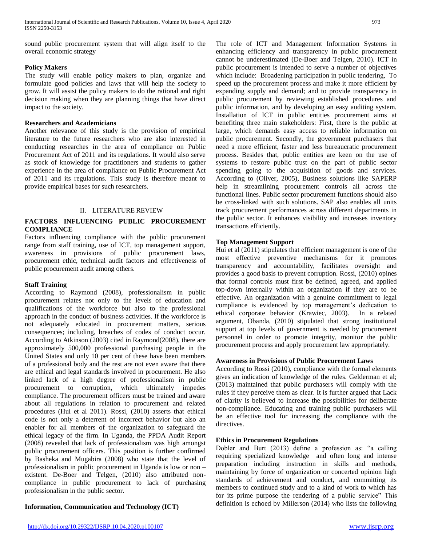sound public procurement system that will align itself to the overall economic strategy

## **Policy Makers**

The study will enable policy makers to plan, organize and formulate good policies and laws that will help the society to grow. It will assist the policy makers to do the rational and right decision making when they are planning things that have direct impact to the society.

## **Researchers and Academicians**

Another relevance of this study is the provision of empirical literature to the future researchers who are also interested in conducting researches in the area of compliance on Public Procurement Act of 2011 and its regulations. It would also serve as stock of knowledge for practitioners and students to gather experience in the area of compliance on Public Procurement Act of 2011 and its regulations. This study is therefore meant to provide empirical bases for such researchers.

# II. LITERATURE REVIEW

# **FACTORS INFLUENCING PUBLIC PROCUREMENT COMPLIANCE**

Factors influencing compliance with the public procurement range from staff training, use of ICT, top management support, awareness in provisions of public procurement laws, procurement ethic, technical audit factors and effectiveness of public procurement audit among others.

# **Staff Training**

According to Raymond (2008), professionalism in public procurement relates not only to the levels of education and qualifications of the workforce but also to the professional approach in the conduct of business activities. If the workforce is not adequately educated in procurement matters, serious consequences; including, breaches of codes of conduct occur. According to Atkinson (2003) cited in Raymond(2008), there are approximately 500,000 professional purchasing people in the United States and only 10 per cent of these have been members of a professional body and the rest are not even aware that there are ethical and legal standards involved in procurement. He also linked lack of a high degree of professionalism in public procurement to corruption, which ultimately impedes compliance. The procurement officers must be trained and aware about all regulations in relation to procurement and related procedures (Hui et al 2011). Rossi, (2010) asserts that ethical code is not only a deterrent of incorrect behavior but also an enabler for all members of the organization to safeguard the ethical legacy of the firm. In Uganda, the PPDA Audit Report (2008) revealed that lack of professionalism was high amongst public procurement officers. This position is further confirmed by Basheka and Mugabira (2008) who state that the level of professionalism in public procurement in Uganda is low or non – existent. De-Boer and Telgen, (2010) also attributed noncompliance in public procurement to lack of purchasing professionalism in the public sector.

# **Information, Communication and Technology (ICT)**

The role of ICT and Management Information Systems in enhancing efficiency and transparency in public procurement cannot be underestimated (De-Boer and Telgen, 2010). ICT in public procurement is intended to serve a number of objectives which include: Broadening participation in public tendering, To speed up the procurement process and make it more efficient by expanding supply and demand; and to provide transparency in public procurement by reviewing established procedures and public information, and by developing an easy auditing system. Installation of ICT in public entities procurement aims at benefiting three main stakeholders: First, there is the public at large, which demands easy access to reliable information on public procurement. Secondly, the government purchasers that need a more efficient, faster and less bureaucratic procurement process. Besides that, public entities are keen on the use of systems to restore public trust on the part of public sector spending going to the acquisition of goods and services. According to (Oliver, 2005), Business solutions like SAPERP help in streamlining procurement controls all across the functional lines. Public sector procurement functions should also be cross-linked with such solutions. SAP also enables all units track procurement performances across different departments in the public sector. It enhances visibility and increases inventory transactions efficiently.

# **Top Management Support**

Hui et al (2011) stipulates that efficient management is one of the most effective preventive mechanisms for it promotes transparency and accountability, facilitates oversight and provides a good basis to prevent corruption. Rossi, (2010) opines that formal controls must first be defined, agreed, and applied top-down internally within an organization if they are to be effective. An organization with a genuine commitment to legal compliance is evidenced by top management's dedication to ethical corporate behavior (Krawiec, 2003). In a related argument, Obanda, (2010) stipulated that strong institutional support at top levels of government is needed by procurement personnel in order to promote integrity, monitor the public procurement process and apply procurement law appropriately.

# **Awareness in Provisions of Public Procurement Laws**

According to Rossi (2010), compliance with the formal elements gives an indication of knowledge of the rules. Gelderman et al; (2013) maintained that public purchasers will comply with the rules if they perceive them as clear. It is further argued that Lack of clarity is believed to increase the possibilities for deliberate non-compliance. Educating and training public purchasers will be an effective tool for increasing the compliance with the directives.

# **Ethics in Procurement Regulations**

Dobler and Burt (2013) define a profession as: "a calling requiring specialized knowledge and often long and intense preparation including instruction in skills and methods, maintaining by force of organization or concerted opinion high standards of achievement and conduct, and committing its members to continued study and to a kind of work to which has for its prime purpose the rendering of a public service" This definition is echoed by Millerson (2014) who lists the following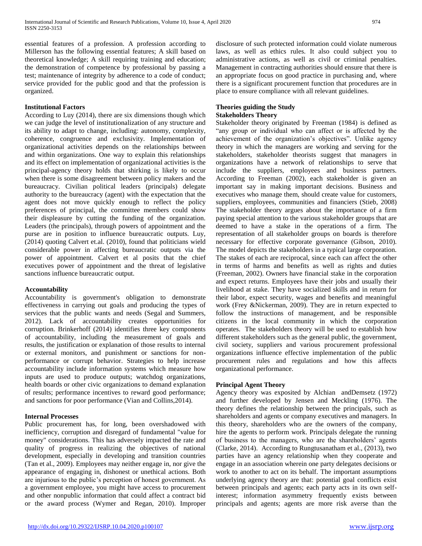essential features of a profession. A profession according to Millerson has the following essential features; A skill based on theoretical knowledge; A skill requiring training and education; the demonstration of competence by professional by passing a test; maintenance of integrity by adherence to a code of conduct; service provided for the public good and that the profession is organized.

### **Institutional Factors**

According to Luy (2014), there are six dimensions though which we can judge the level of institutionalization of any structure and its ability to adapt to change, including: autonomy, complexity, coherence, congruence and exclusivity. Implementation of organizational activities depends on the relationships between and within organizations. One way to explain this relationships and its effect on implementation of organizational activities is the principal-agency theory holds that shirking is likely to occur when there is some disagreement between policy makers and the bureaucracy. Civilian political leaders (principals) delegate authority to the bureaucracy (agent) with the expectation that the agent does not move quickly enough to reflect the policy preferences of principal, the committee members could show their displeasure by cutting the funding of the organization. Leaders (the principals), through powers of appointment and the purse are in position to influence bureaucratic outputs. Luy, (2014) quoting Calvert et.al. (2010), found that politicians wield considerable power in affecting bureaucratic outputs via the power of appointment. Calvert et al posits that the chief executives power of appointment and the threat of legislative sanctions influence bureaucratic output.

### **Accountability**

Accountability is government's obligation to demonstrate effectiveness in carrying out goals and producing the types of services that the public wants and needs (Segal and Summers, 2012). Lack of accountability creates opportunities for corruption. Brinkerhoff (2014) identifies three key components of accountability, including the measurement of goals and results, the justification or explanation of those results to internal or external monitors, and punishment or sanctions for nonperformance or corrupt behavior. Strategies to help increase accountability include information systems which measure how inputs are used to produce outputs; watchdog organizations, health boards or other civic organizations to demand explanation of results; performance incentives to reward good performance; and sanctions for poor performance (Vian and Collins,2014).

## **Internal Processes**

Public procurement has, for long, been overshadowed with inefficiency, corruption and disregard of fundamental "value for money" considerations. This has adversely impacted the rate and quality of progress in realizing the objectives of national development, especially in developing and transition countries (Tan et al., 2009). Employees may neither engage in, nor give the appearance of engaging in, dishonest or unethical actions. Both are injurious to the public's perception of honest government. As a government employee, you might have access to procurement and other nonpublic information that could affect a contract bid or the award process (Wymer and Regan, 2010). Improper

disclosure of such protected information could violate numerous laws, as well as ethics rules. It also could subject you to administrative actions, as well as civil or criminal penalties. Management in contracting authorities should ensure that there is an appropriate focus on good practice in purchasing and, where there is a significant procurement function that procedures are in place to ensure compliance with all relevant guidelines.

## **Theories guiding the Study Stakeholders Theory**

Stakeholder theory originated by Freeman (1984) is defined as "any group or individual who can affect or is affected by the achievement of the organization's objectives". Unlike agency theory in which the managers are working and serving for the stakeholders, stakeholder theorists suggest that managers in organizations have a network of relationships to serve that include the suppliers, employees and business partners. According to Freeman (2002), each stakeholder is given an important say in making important decisions. Business and executives who manage them, should create value for customers, suppliers, employees, communities and financiers (Stieb, 2008) The stakeholder theory argues about the importance of a firm paying special attention to the various stakeholder groups that are deemed to have a stake in the operations of a firm. The representation of all stakeholder groups on boards is therefore necessary for effective corporate governance (Gibson, 2010). The model depicts the stakeholders in a typical large corporation. The stakes of each are reciprocal, since each can affect the other in terms of harms and benefits as well as rights and duties (Freeman, 2002). Owners have financial stake in the corporation and expect returns. Employees have their jobs and usually their livelihood at stake. They have socialized skills and in return for their labor, expect security, wages and benefits and meaningful work (Frey &Nickerman, 2009). They are in return expected to follow the instructions of management, and be responsible citizens in the local community in which the corporation operates. The stakeholders theory will be used to establish how different stakeholders such as the general public, the government, civil society, suppliers and various procurement professional organizations influence effective implementation of the public procurement rules and regulations and how this affects organizational performance.

## **Principal Agent Theory**

Agency theory was exposited by Alchian andDemsetz (1972) and further developed by Jensen and Meckling (1976). The theory defines the relationship between the principals, such as shareholders and agents or company executives and managers. In this theory, shareholders who are the owners of the company, hire the agents to perform work. Principals delegate the running of business to the managers, who are the shareholders' agents (Clarke, 2014). According to Rungtusanatham et al., (2013), two parties have an agency relationship when they cooperate and engage in an association wherein one party delegates decisions or work to another to act on its behalf. The important assumptions underlying agency theory are that: potential goal conflicts exist between principals and agents; each party acts in its own selfinterest; information asymmetry frequently exists between principals and agents; agents are more risk averse than the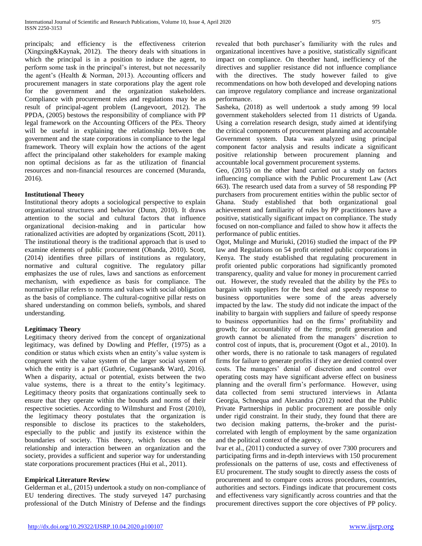principals; and efficiency is the effectiveness criterion (Xingxing&Kaynak, 2012). The theory deals with situations in which the principal is in a position to induce the agent, to perform some task in the principal's interest, but not necessarily the agent's (Health & Norman, 2013). Accounting officers and procurement managers in state corporations play the agent role for the government and the organization stakeholders. Compliance with procurement rules and regulations may be as result of principal-agent problem (Langevoort, 2012). The PPDA, (2005) bestows the responsibility of compliance with PP legal framework on the Accounting Officers of the PEs. Theory will be useful in explaining the relationship between the government and the state corporations in compliance to the legal framework. Theory will explain how the actions of the agent affect the principaland other stakeholders for example making non optimal decisions as far as the utilization of financial resources and non-financial resources are concerned (Muranda, 2016).

## **Institutional Theory**

Institutional theory adopts a sociological perspective to explain organizational structures and behavior (Dunn, 2010). It draws attention to the social and cultural factors that influence organizational decision-making and in particular how rationalized activities are adopted by organizations (Scott, 2011). The institutional theory is the traditional approach that is used to examine elements of public procurement (Obanda, 2010). Scott, (2014) identifies three pillars of institutions as regulatory, normative and cultural cognitive. The regulatory pillar emphasizes the use of rules, laws and sanctions as enforcement mechanism, with expedience as basis for compliance. The normative pillar refers to norms and values with social obligation as the basis of compliance. The cultural-cognitive pillar rests on shared understanding on common beliefs, symbols, and shared understanding.

# **Legitimacy Theory**

Legitimacy theory derived from the concept of organizational legitimacy, was defined by Dowling and Pfeffer, (1975) as a condition or status which exists when an entity's value system is congruent with the value system of the larger social system of which the entity is a part (Guthrie, Cuganesan& Ward, 2016). When a disparity, actual or potential, exists between the two value systems, there is a threat to the entity's legitimacy. Legitimacy theory posits that organizations continually seek to ensure that they operate within the bounds and norms of their respective societies. According to Wilmshurst and Frost (2010), the legitimacy theory postulates that the organization is responsible to disclose its practices to the stakeholders, especially to the public and justify its existence within the boundaries of society. This theory, which focuses on the relationship and interaction between an organization and the society, provides a sufficient and superior way for understanding state corporations procurement practices (Hui et al., 2011).

# **Empirical Literature Review**

Gelderman et al., (2015) undertook a study on non-compliance of EU tendering directives. The study surveyed 147 purchasing professional of the Dutch Ministry of Defense and the findings revealed that both purchaser's familiarity with the rules and organizational incentives have a positive, statistically significant impact on compliance. On theother hand, inefficiency of the directives and supplier resistance did not influence compliance with the directives. The study however failed to give recommendations on how both developed and developing nations can improve regulatory compliance and increase organizational performance.

Sasheka, (2018) as well undertook a study among 99 local government stakeholders selected from 11 districts of Uganda. Using a correlation research design, study aimed at identifying the critical components of procurement planning and accountable Government system. Data was analyzed using principal component factor analysis and results indicate a significant positive relationship between procurement planning and accountable local government procurement systems.

Geo, (2015) on the other hand carried out a study on factors influencing compliance with the Public Procurement Law (Act 663). The research used data from a survey of 58 responding PP purchasers from procurement entities within the public sector of Ghana. Study established that both organizational goal achievement and familiarity of rules by PP practitioners have a positive, statistically significant impact on compliance. The study focused on non-compliance and failed to show how it affects the performance of public entities.

Ogot, Mulinge and Muriuki, (2016) studied the impact of the PP law and Regulations on 54 profit oriented public corporations in Kenya. The study established that regulating procurement in profit oriented public corporations had significantly promoted transparency, quality and value for money in procurement carried out. However, the study revealed that the ability by the PEs to bargain with suppliers for the best deal and speedy response to business opportunities were some of the areas adversely impacted by the law. The study did not indicate the impact of the inability to bargain with suppliers and failure of speedy response to business opportunities had on the firms' profitability and growth; for accountability of the firms; profit generation and growth cannot be alienated from the managers' discretion to control cost of inputs, that is, procurement (Ogot et al., 2010). In other words, there is no rationale to task managers of regulated firms for failure to generate profits if they are denied control over costs. The managers' denial of discretion and control over operating costs may have significant adverse effect on business planning and the overall firm's performance. However, using data collected from semi structured interviews in Atlanta Georgia, Schnequa and Alexandra (2012) noted that the Public Private Partnerships in public procurement are possible only under rigid constraint. In their study, they found that there are two decision making patterns, the-broker and the puristcorrelated with length of employment by the same organization and the political context of the agency.

Ivar et al., (2011) conducted a survey of over 7300 procurers and participating firms and in-depth interviews with 150 procurement professionals on the patterns of use, costs and effectiveness of EU procurement. The study sought to directly assess the costs of procurement and to compare costs across procedures, countries, authorities and sectors. Findings indicate that procurement costs and effectiveness vary significantly across countries and that the procurement directives support the core objectives of PP policy.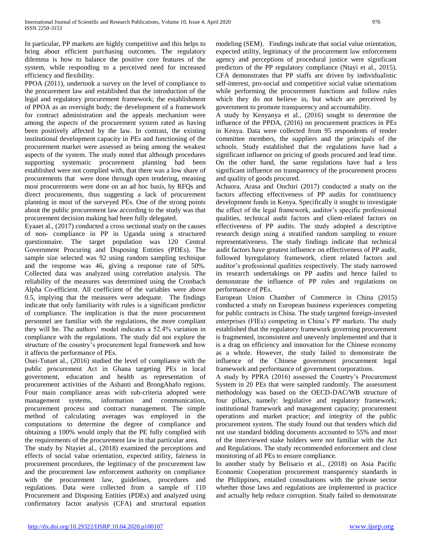In particular, PP markets are highly competitive and this helps to bring about efficient purchasing outcomes. The regulatory dilemma is how to balance the positive core features of the system, while responding to a perceived need for increased efficiency and flexibility.

PPOA (2011), undertook a survey on the level of compliance to the procurement law and established that the introduction of the legal and regulatory procurement framework; the establishment of PPOA as an oversight body; the development of a framework for contract administration and the appeals mechanism were among the aspects of the procurement system rated as having been positively affected by the law. In contrast, the existing institutional development capacity in PEs and functioning of the procurement market were assessed as being among the weakest aspects of the system. The study noted that although procedures supporting systematic procurement planning had been established were not complied with, that there was a low share of procurements that were done through open tendering, meaning most procurements were done on an ad hoc basis, by RFQs and direct procurements, thus suggesting a lack of procurement planning in most of the surveyed PEs. One of the strong points about the public procurement law according to the study was that procurement decision making had been fully delegated.

Eyaaet al., (2017) conducted a cross sectional study on the causes of non- compliance in PP in Uganda using a structured questionnaire. The target population was 120 Central Government Procuring and Disposing Entities (PDEs). The sample size selected was 92 using random sampling technique and the response was 46, giving a response rate of 50%. Collected data was analyzed using correlation analysis. The reliability of the measures was determined using the Cronbach Alpha Co-efficient. All coefficient of the variables were above 0.5, implying that the measures were adequate. The findings indicate that only familiarity with rules is a significant predictor of compliance. The implication is that the more procurement personnel are familiar with the regulations, the more compliant they will be. The authors' model indicates a 52.4% variation in compliance with the regulations. The study did not explore the structure of the country's procurement legal framework and how it affects the performance of PEs.

Osei-Tutuet al., (2016) studied the level of compliance with the public procurement Act in Ghana targeting PEs in local government, education and health as representation of procurement activities of the Ashanti and BrongAhafo regions. Four main compliance areas with sub-criteria adopted were management systems, information and communication, procurement process and contract management. The simple method of calculating averages was employed in the computations to determine the degree of compliance and obtaining a 100% would imply that the PE fully complied with the requirements of the procurement law in that particular area.

The study by Ntayiet al., (2018) examined the perceptions and effects of social value orientation, expected utility, fairness in procurement procedures, the legitimacy of the procurement law and the procurement law enforcement authority on compliance with the procurement law, guidelines, procedures and regulations. Data were collected from a sample of 110 Procurement and Disposing Entities (PDEs) and analyzed using confirmatory factor analysis (CFA) and structural equation modeling (SEM). Findings indicate that social value orientation, expected utility, legitimacy of the procurement law enforcement agency and perceptions of procedural justice were significant predictors of the PP regulatory compliance (Ntayi et al., 2015). CFA demonstrates that PP staffs are driven by individualistic self-interest, pro-social and competitive social value orientations while performing the procurement functions and follow rules which they do not believe in, but which are perceived by government to promote transparency and accountability.

A study by Kenyanya et al., (2016) sought to determine the influence of the PPDA, (2016) on procurement practices in PEs in Kenya. Data were collected from 95 respondents of tender committee members, the suppliers and the principals of the schools. Study established that the regulations have had a significant influence on pricing of goods procured and lead time. On the other hand, the same regulations have had a less significant influence on transparency of the procurement process and quality of goods procured.

Achuora, Arasa and Onchiri (2017) conducted a study on the factors affecting effectiveness of PP audits for constituency development funds in Kenya. Specifically it sought to investigate the effect of the legal framework, auditor's specific professional qualities, technical audit factors and client-related factors on effectiveness of PP audits. The study adopted a descriptive research design using a stratified random sampling to ensure representativeness. The study findings indicate that technical audit factors have greatest influence on effectiveness of PP audit, followed byregulatory framework, client related factors and auditor's professional qualities respectively. The study narrowed its research undertakings on PP audits and hence failed to demonstrate the influence of PP rules and regulations on performance of PEs.

European Union Chamber of Commerce in China (2015) conducted a study on European business experiences competing for public contracts in China. The study targeted foreign-invested enterprises (FIEs) competing in China's PP markets. The study established that the regulatory framework governing procurement is fragmented, inconsistent and unevenly implemented and that it is a drag on efficiency and innovation for the Chinese economy as a whole. However, the study failed to demonstrate the influence of the Chinese government procurement legal framework and performance of government corporations.

A study by PPRA (2016) assessed the Country's Procurement System in 20 PEs that were sampled randomly. The assessment methodology was based on the OECD-DAC/WB structure of four pillars, namely: legislative and regulatory framework; institutional framework and management capacity; procurement operations and market practice; and integrity of the public procurement system. The study found out that tenders which did not use standard bidding documents accounted to 55% and most of the interviewed stake holders were not familiar with the Act and Regulations. The study recommended enforcement and close monitoring of all PEs to ensure compliance.

In another study by Belisario et al., (2018) on Asia Pacific Economic Cooperation procurement transparency standards in the Philippines, entailed consultations with the private sector whether those laws and regulations are implemented in practice and actually help reduce corruption. Study failed to demonstrate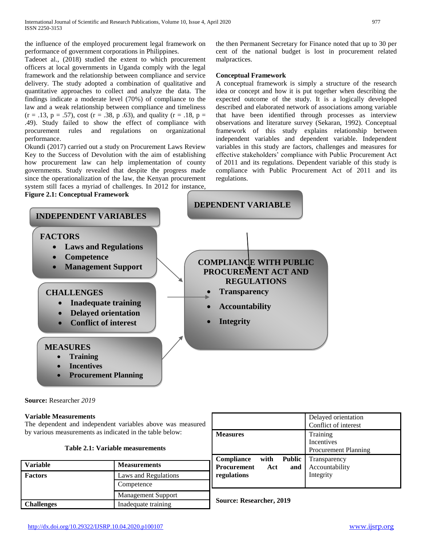the influence of the employed procurement legal framework on performance of government corporations in Philippines.

Tadeoet al., (2018) studied the extent to which procurement officers at local governments in Uganda comply with the legal framework and the relationship between compliance and service delivery. The study adopted a combination of qualitative and quantitative approaches to collect and analyze the data. The findings indicate a moderate level (70%) of compliance to the law and a weak relationship between compliance and timeliness  $(r = .13, p = .57)$ , cost  $(r = .38, p .63)$ , and quality  $(r = .18, p = .75)$ .49). Study failed to show the effect of compliance with procurement rules and regulations on organizational performance.

Okundi (2017) carried out a study on Procurement Laws Review Key to the Success of Devolution with the aim of establishing how procurement law can help implementation of county governments. Study revealed that despite the progress made since the operationalization of the law, the Kenyan procurement system still faces a myriad of challenges. In 2012 for instance, the then Permanent Secretary for Finance noted that up to 30 per cent of the national budget is lost in procurement related malpractices.

## **Conceptual Framework**

A conceptual framework is simply a structure of the research idea or concept and how it is put together when describing the expected outcome of the study. It is a logically developed described and elaborated network of associations among variable that have been identified through processes as interview observations and literature survey (Sekaran, 1992). Conceptual framework of this study explains relationship between independent variables and dependent variable. Independent variables in this study are factors, challenges and measures for effective stakeholders' compliance with Public Procurement Act of 2011 and its regulations. Dependent variable of this study is compliance with Public Procurement Act of 2011 and its regulations.



**Source:** Researcher *2019*

# **Variable Measurements**

The dependent and independent variables above was measured by various measurements as indicated in the table below:

| Table 2.1: Variable measurements |  |
|----------------------------------|--|
|----------------------------------|--|

| <b>Variable</b> | <b>Measurements</b>       |
|-----------------|---------------------------|
| <b>Factors</b>  | Laws and Regulations      |
|                 | Competence                |
|                 | <b>Management Support</b> |
| Challenges      | Inadequate training       |

|                                            | Delayed orientation         |
|--------------------------------------------|-----------------------------|
|                                            | Conflict of interest        |
| <b>Measures</b>                            | Training                    |
|                                            | <b>Incentives</b>           |
|                                            | <b>Procurement Planning</b> |
| <b>Public</b><br><b>Compliance</b><br>with | Transparency                |
| <b>Procurement</b><br>Act<br>and           | Accountability              |
| regulations                                | Integrity                   |
|                                            |                             |

**Source: Researcher, 2019**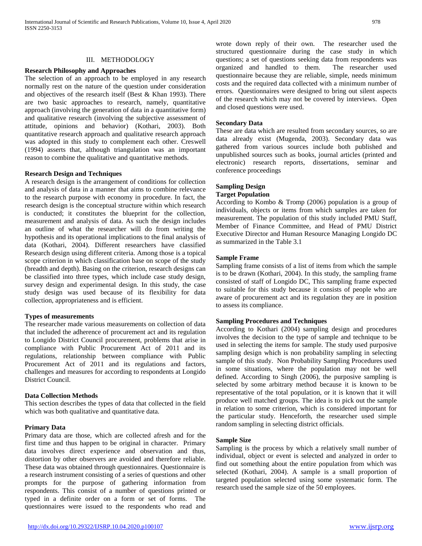### III. METHODOLOGY

#### **Research Philosophy and Approaches**

The selection of an approach to be employed in any research normally rest on the nature of the question under consideration and objectives of the research itself (Best & Khan 1993). There are two basic approaches to research, namely, quantitative approach (involving the generation of data in a quantitative form) and qualitative research (involving the subjective assessment of attitude, opinions and behavior) (Kothari, 2003). Both quantitative research approach and qualitative research approach was adopted in this study to complement each other. Creswell (1994) asserts that, although triangulation was an important reason to combine the qualitative and quantitative methods.

### **Research Design and Techniques**

A research design is the arrangement of conditions for collection and analysis of data in a manner that aims to combine relevance to the research purpose with economy in procedure. In fact, the research design is the conceptual structure within which research is conducted; it constitutes the blueprint for the collection, measurement and analysis of data. As such the design includes an outline of what the researcher will do from writing the hypothesis and its operational implications to the final analysis of data (Kothari, 2004). Different researchers have classified Research design using different criteria. Among those is a topical scope criterion in which classification base on scope of the study (breadth and depth). Basing on the criterion, research designs can be classified into three types, which include case study design, survey design and experimental design. In this study, the case study design was used because of its flexibility for data collection, appropriateness and is efficient.

### **Types of measurements**

The researcher made various measurements on collection of data that included the adherence of procurement act and its regulation to Longido District Council procurement, problems that arise in compliance with Public Procurement Act of 2011 and its regulations, relationship between compliance with Public Procurement Act of 2011 and its regulations and factors, challenges and measures for according to respondents at Longido District Council.

### **Data Collection Methods**

This section describes the types of data that collected in the field which was both qualitative and quantitative data.

### **Primary Data**

Primary data are those, which are collected afresh and for the first time and thus happen to be original in character. Primary data involves direct experience and observation and thus, distortion by other observers are avoided and therefore reliable. These data was obtained through questionnaires. Questionnaire is a research instrument consisting of a series of questions and other prompts for the purpose of gathering information from respondents. This consist of a number of questions printed or typed in a definite order on a form or set of forms. The questionnaires were issued to the respondents who read and wrote down reply of their own. The researcher used the structured questionnaire during the case study in which questions; a set of questions seeking data from respondents was organized and handled to them. The researcher used questionnaire because they are reliable, simple, needs minimum costs and the required data collected with a minimum number of errors. Questionnaires were designed to bring out silent aspects of the research which may not be covered by interviews. Open and closed questions were used.

#### **Secondary Data**

These are data which are resulted from secondary sources, so are data already exist (Mugenda, 2003). Secondary data was gathered from various sources include both published and unpublished sources such as books, journal articles (printed and electronic) research reports, dissertations, seminar and conference proceedings

### **Sampling Design**

### **Target Population**

According to Kombo & Tromp (2006) population is a group of individuals, objects or items from which samples are taken for measurement. The population of this study included PMU Staff, Member of Finance Committee, and Head of PMU District Executive Director and Human Resource Managing Longido DC as summarized in the Table 3.1

### **Sample Frame**

Sampling frame consists of a list of items from which the sample is to be drawn (Kothari, 2004). In this study, the sampling frame consisted of staff of Longido DC, This sampling frame expected to suitable for this study because it consists of people who are aware of procurement act and its regulation they are in position to assess its compliance.

## **Sampling Procedures and Techniques**

According to Kothari (2004) sampling design and procedures involves the decision to the type of sample and technique to be used in selecting the items for sample. The study used purposive sampling design which is non probability sampling in selecting sample of this study. Non Probability Sampling Procedures used in some situations, where the population may not be well defined. According to Singh (2006), the purposive sampling is selected by some arbitrary method because it is known to be representative of the total population, or it is known that it will produce well matched groups. The idea is to pick out the sample in relation to some criterion, which is considered important for the particular study. Henceforth, the researcher used simple random sampling in selecting district officials.

### **Sample Size**

Sampling is the process by which a relatively small number of individual, object or event is selected and analyzed in order to find out something about the entire population from which was selected (Kothari, 2004). A sample is a small proportion of targeted population selected using some systematic form. The research used the sample size of the 50 employees.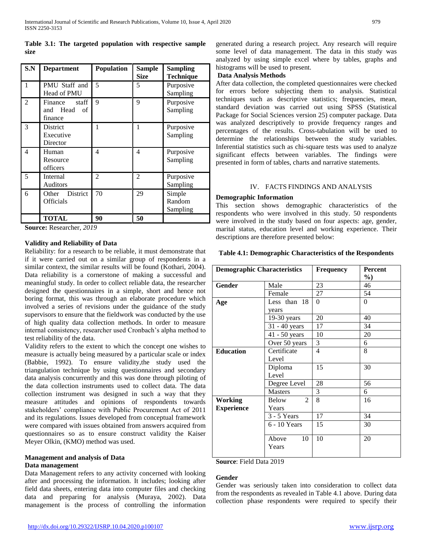| Table 3.1: The targeted population with respective sample |  |  |  |
|-----------------------------------------------------------|--|--|--|
| size                                                      |  |  |  |

| S.N            | <b>Department</b>                               | <b>Population</b> | <b>Sample</b><br><b>Size</b> | <b>Sampling</b><br><b>Technique</b> |
|----------------|-------------------------------------------------|-------------------|------------------------------|-------------------------------------|
| $\mathbf{1}$   | PMU Staff and<br>Head of PMU                    | 5                 | 5                            | Purposive<br>Sampling               |
| $\overline{2}$ | staff<br>Finance<br>and Head<br>- of<br>finance | 9                 | 9                            | Purposive<br>Sampling               |
| 3              | <b>District</b><br>Executive<br>Director        | 1                 | 1                            | Purposive<br>Sampling               |
| 4              | Human<br>Resource<br>officers                   | 4                 | 4                            | Purposive<br>Sampling               |
| 5              | Internal<br>Auditors                            | $\mathfrak{D}$    | $\overline{c}$               | Purposive<br>Sampling               |
| 6              | Other District<br>Officials                     | 70                | 29                           | Simple<br>Random<br>Sampling        |
|                | <b>TOTAL</b>                                    | 90                | 50                           |                                     |

**Source:** Researcher, *2019*

## **Validity and Reliability of Data**

Reliability: for a research to be reliable, it must demonstrate that if it were carried out on a similar group of respondents in a similar context, the similar results will be found (Kothari, 2004). Data reliability is a cornerstone of making a successful and meaningful study. In order to collect reliable data, the researcher designed the questionnaires in a simple, short and hence not boring format, this was through an elaborate procedure which involved a series of revisions under the guidance of the study supervisors to ensure that the fieldwork was conducted by the use of high quality data collection methods. In order to measure internal consistency, researcher used Cronbach's alpha method to test reliability of the data.

Validity refers to the extent to which the concept one wishes to measure is actually being measured by a particular scale or index (Babbie, 1992). To ensure validity,the study used the triangulation technique by using questionnaires and secondary data analysis concurrently and this was done through piloting of the data collection instruments used to collect data. The data collection instrument was designed in such a way that they measure attitudes and opinions of respondents towards stakeholders' compliance with Public Procurement Act of 2011 and its regulations. Issues developed from conceptual framework were compared with issues obtained from answers acquired from questionnaires so as to ensure construct validity the Kaiser Meyer Olkin, (KMO) method was used.

# **Management and analysis of Data**

## **Data management**

Data Management refers to any activity concerned with looking after and processing the information. It includes; looking after field data sheets, entering data into computer files and checking data and preparing for analysis (Muraya, 2002). Data management is the process of controlling the information

generated during a research project. Any research will require some level of data management. The data in this study was analyzed by using simple excel where by tables, graphs and histograms will be used to present.

# **Data Analysis Methods**

After data collection, the completed questionnaires were checked for errors before subjecting them to analysis. Statistical techniques such as descriptive statistics; frequencies, mean, standard deviation was carried out using SPSS (Statistical Package for Social Sciences version 25) computer package. Data was analyzed descriptively to provide frequency ranges and percentages of the results. Cross-tabulation will be used to determine the relationships between the study variables. Inferential statistics such as chi-square tests was used to analyze significant effects between variables. The findings were presented in form of tables, charts and narrative statements.

## IV. FACTS FINDINGS AND ANALYSIS

## **Demographic Information**

This section shows demographic characteristics of the respondents who were involved in this study. 50 respondents were involved in the study based on four aspects: age, gender, marital status, education level and working experience. Their descriptions are therefore presented below:

## **Table 4.1: Demographic Characteristics of the Respondents**

| <b>Demographic Characteristics</b> |                         | <b>Frequency</b> | Percent  |
|------------------------------------|-------------------------|------------------|----------|
|                                    |                         |                  | $\%$     |
| <b>Gender</b>                      | Male                    | 23               | 46       |
|                                    | Female                  | 27               | 54       |
| Age                                | Less than 18            | $\Omega$         | $\Omega$ |
|                                    | years                   |                  |          |
|                                    | $19-30$ years           | 20               | 40       |
|                                    | $31 - 40$ years         | 17               | 34       |
|                                    | $41 - 50$ years         | 10               | 20       |
|                                    | Over 50 years           | 3                | 6        |
| <b>Education</b>                   | Certificate             | 4                | 8        |
|                                    | Level                   |                  |          |
|                                    | Diploma                 | 15               | 30       |
|                                    | Level                   |                  |          |
|                                    | Degree Level            | 28               | 56       |
|                                    | <b>Masters</b>          | 3                | 6        |
| Working                            | $\mathfrak{D}$<br>Below | 8                | 16       |
| <b>Experience</b>                  | Years                   |                  |          |
|                                    | $3 - 5$ Years           | 17               | 34       |
|                                    | 6 - 10 Years            | 15               | 30       |
|                                    |                         |                  |          |
|                                    | 10<br>Above             | 10               | 20       |
|                                    | Years                   |                  |          |
|                                    |                         |                  |          |

**Source**: Field Data 2019

# **Gender**

Gender was seriously taken into consideration to collect data from the respondents as revealed in Table 4.1 above. During data collection phase respondents were required to specify their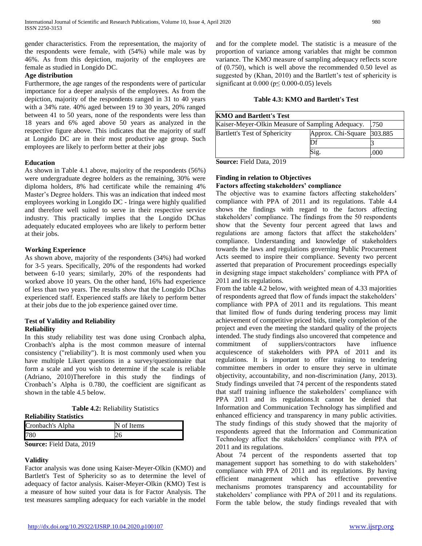gender characteristics. From the representation, the majority of the respondents were female, with (54%) while male was by 46%. As from this depiction, majority of the employees are female as studied in Longido DC.

## **Age distribution**

Furthermore, the age ranges of the respondents were of particular importance for a deeper analysis of the employees. As from the depiction, majority of the respondents ranged in 31 to 40 years with a 34% rate. 40% aged between 19 to 30 years, 20% ranged between 41 to 50 years, none of the respondents were less than 18 years and 6% aged above 50 years as analyzed in the respective figure above. This indicates that the majority of staff at Longido DC are in their most productive age group. Such employees are likely to perform better at their jobs

## **Education**

As shown in Table 4.1 above, majority of the respondents (56%) were undergraduate degree holders as the remaining, 30% were diploma holders, 8% had certificate while the remaining 4% Master's Degree holders. This was an indication that indeed most employees working in Longido DC - Iringa were highly qualified and therefore well suited to serve in their respective service industry. This practically implies that the Longido DChas adequately educated employees who are likely to perform better at their jobs.

## **Working Experience**

As shown above, majority of the respondents (34%) had worked for 3-5 years. Specifically, 20% of the respondents had worked between 6-10 years; similarly, 20% of the respondents had worked above 10 years. On the other hand, 16% had experience of less than two years. The results show that the Longido DChas experienced staff. Experienced staffs are likely to perform better at their jobs due to the job experience gained over time.

### **Test of Validity and Reliability Reliability**

In this study reliability test was done using Cronbach alpha, Cronbach's alpha is the most common measure of internal consistency ("reliability"). It is most commonly used when you have multiple Likert questions in a survey/questionnaire that form a scale and you wish to determine if the scale is reliable (Adriano, 2010)Therefore in this study the findings of Cronbach's Alpha is 0.780, the coefficient are significant as shown in the table 4.5 below.

**Reliability Statistics**

| Cronbach's Alpha                | N of Items |  |
|---------------------------------|------------|--|
| 780                             |            |  |
| <b>Source:</b> Field Data, 2019 |            |  |

## **Validity**

Factor analysis was done using Kaiser-Meyer-Olkin (KMO) and Bartlett's Test of Sphericity so as to determine the level of adequacy of factor analysis. Kaiser-Meyer-Olkin (KMO) Test is a measure of how suited your data is for Factor Analysis. The test measures sampling adequacy for each variable in the model

and for the complete model. The statistic is a measure of the proportion of variance among variables that might be common variance. The KMO measure of sampling adequacy reflects score of (0.750), which is well above the recommended 0.50 level as suggested by (Khan, 2010) and the Bartlett's test of sphericity is significant at  $0.000$  ( $p \le 0.000$ -0.05) levels

## **Table 4.3: KMO and Bartlett's Test**

| <b>KMO</b> and Bartlett's Test                   |                            |      |
|--------------------------------------------------|----------------------------|------|
| Kaiser-Meyer-Olkin Measure of Sampling Adequacy. |                            | .750 |
| <b>Bartlett's Test of Sphericity</b>             | Approx. Chi-Square 303.885 |      |
|                                                  |                            |      |
|                                                  | Sig.                       | 000  |

**Source:** Field Data, 2019

### **Finding in relation to Objectives Factors affecting stakeholders' compliance**

The objective was to examine factors affecting stakeholders' compliance with PPA of 2011 and its regulations. Table 4.4 shows the findings with regard to the factors affecting stakeholders' compliance. The findings from the 50 respondents show that the Seventy four percent agreed that laws and regulations are among factors that affect the stakeholders' compliance. Understanding and knowledge of stakeholders towards the laws and regulations governing Public Procurement Acts seemed to inspire their compliance. Seventy two percent asserted that preparation of Procurement proceedings especially in designing stage impact stakeholders' compliance with PPA of 2011 and its regulations.

From the table 4.2 below, with weighted mean of 4.33 majorities of respondents agreed that flow of funds impact the stakeholders' compliance with PPA of 2011 and its regulations. This meant that limited flow of funds during tendering process may limit achievement of competitive priced bids, timely completion of the project and even the meeting the standard quality of the projects intended. The study findings also uncovered that competence and commitment of suppliers/contractors have influence acquiescence of stakeholders with PPA of 2011 and its regulations. It is important to offer training to tendering committee members in order to ensure they serve in ultimate objectivity, accountability, and non-discrimination (Jany, 2013). Study findings unveiled that 74 percent of the respondents stated that staff training influence the stakeholders' compliance with PPA 2011 and its regulations.It cannot be denied that Information and Communication Technology has simplified and enhanced efficiency and transparency in many public activities. The study findings of this study showed that the majority of respondents agreed that the Information and Communication Technology affect the stakeholders' compliance with PPA of 2011 and its regulations.

About 74 percent of the respondents asserted that top management support has something to do with stakeholders' compliance with PPA of 2011 and its regulations. By having efficient management which has effective preventive mechanisms promotes transparency and accountability for stakeholders' compliance with PPA of 2011 and its regulations. Form the table below, the study findings revealed that with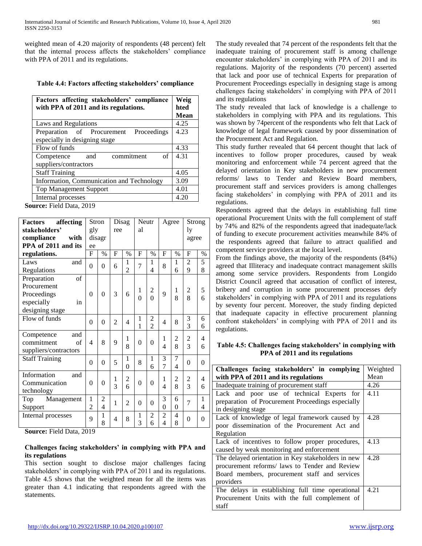weighted mean of 4.20 majority of respondents (48 percent) felt that the internal process affects the stakeholders' compliance with PPA of 2011 and its regulations.

## **Table 4.4: Factors affecting stakeholders' compliance**

| Weig<br>hted |
|--------------|
| <b>Mean</b>  |
| 4.25         |
| 4.23         |
|              |
| 4.33         |
| 4.31         |
|              |
| 4.05         |
| 3.09         |
| 4.01         |
| 4.20         |
|              |

**Source:** Field Data, 2019

| affecting<br><b>Factors</b> | Stron            |                          |                | Neutr<br>Disag |                | Agree          |                          | Strong                   |                |          |  |  |  |  |          |              |  |   |
|-----------------------------|------------------|--------------------------|----------------|----------------|----------------|----------------|--------------------------|--------------------------|----------------|----------|--|--|--|--|----------|--------------|--|---|
| stakeholders'               | gly              |                          | ree            |                | al             |                |                          |                          | ly             |          |  |  |  |  |          |              |  |   |
| compliance<br>with          |                  | disagr                   |                |                |                |                |                          |                          | agree          |          |  |  |  |  |          |              |  |   |
| PPA of 2011 and its         | ee               |                          |                |                |                |                |                          |                          |                |          |  |  |  |  |          |              |  |   |
| regulations.                | F                | $\%$                     | F              | $\%$           | F              | $\%$           | F                        | $\frac{0}{0}$            | F              | $\%$     |  |  |  |  |          |              |  |   |
| Laws<br>and                 | $\overline{0}$   | $\theta$                 | 6              | 1              | $\overline{7}$ | 1              | 8                        | 1                        | $\overline{2}$ | 5        |  |  |  |  |          |              |  |   |
| Regulations                 |                  |                          |                | $\overline{2}$ |                | 4              |                          | 6                        | 9              | 8        |  |  |  |  |          |              |  |   |
| of<br>Preparation           |                  |                          |                |                |                |                |                          |                          |                |          |  |  |  |  |          |              |  |   |
| Procurement                 |                  |                          |                |                | 1              | 2              |                          | 1                        | $\overline{c}$ | 5        |  |  |  |  |          |              |  |   |
| Proceedings                 | $\theta$         | $\theta$                 | 3              | 6              | $\theta$       | $\theta$       | $\mathbf Q$              | 8                        | 8              | 6        |  |  |  |  |          |              |  |   |
| especially<br>in            |                  |                          |                |                |                |                |                          |                          |                |          |  |  |  |  |          |              |  |   |
| designing stage             |                  |                          |                |                |                |                |                          |                          |                |          |  |  |  |  |          |              |  |   |
| Flow of funds               | $\Omega$         | $\theta$                 | $\overline{2}$ | 4              | 1              | $\overline{c}$ | $\overline{4}$           | 8                        | 3              | 6        |  |  |  |  |          |              |  |   |
|                             |                  |                          |                |                | 1              | $\overline{2}$ |                          |                          | $\overline{3}$ | 6        |  |  |  |  |          |              |  |   |
| Competence<br>and           |                  |                          |                | 1              |                |                | 1                        | $\overline{c}$           | $\overline{c}$ | 4        |  |  |  |  |          |              |  |   |
| commitment<br>of            | $\overline{4}$   | 8                        | 9              | 8              | $\theta$       | $\theta$       | 4                        | 8                        | 3              | 6        |  |  |  |  |          |              |  |   |
| suppliers/contractors       |                  |                          |                |                |                |                |                          |                          |                |          |  |  |  |  |          |              |  |   |
| <b>Staff Training</b>       | $\boldsymbol{0}$ | $\theta$                 | 5              | 1              | 8              | 1              | 3                        | $\overline{7}$           | $\overline{0}$ | $\theta$ |  |  |  |  |          |              |  |   |
|                             |                  |                          |                | $\theta$       |                | 6              | $\overline{7}$           | $\overline{\mathcal{L}}$ |                |          |  |  |  |  |          |              |  |   |
| Information<br>and          |                  |                          | 1              | 2              |                |                | 1                        | 2                        | 2              | 4        |  |  |  |  |          |              |  |   |
| Communication               | $\theta$         | $\Omega$                 | 3              | 6              | $\theta$       | $\theta$       | $\overline{\mathcal{L}}$ | 8                        | 3              | 6        |  |  |  |  |          |              |  |   |
| technology                  |                  |                          |                |                |                |                |                          |                          |                |          |  |  |  |  |          |              |  |   |
| Management<br>Top           | 1                | $\overline{2}$           | 1              | $\overline{2}$ | $\theta$       | $\theta$       | 3                        | 6                        | $\overline{7}$ | 1        |  |  |  |  |          |              |  |   |
| Support                     | $\overline{2}$   | $\overline{\mathcal{L}}$ |                |                |                |                |                          |                          |                |          |  |  |  |  | $\theta$ | $\mathbf{0}$ |  | 4 |
| Internal processes          | 9                | 1                        | 4              | 8              | 1              | 2              | $\overline{2}$           | 4                        | $\theta$       | $\theta$ |  |  |  |  |          |              |  |   |
|                             |                  | 8                        |                |                | 3              | 6              | $\overline{\mathcal{L}}$ | 8                        |                |          |  |  |  |  |          |              |  |   |

**Source:** Field Data, 2019

# **Challenges facing stakeholders' in complying with PPA and its regulations**

This section sought to disclose major challenges facing stakeholders' in complying with PPA of 2011 and its regulations. Table 4.5 shows that the weighted mean for all the items was greater than 4.1 indicating that respondents agreed with the statements.

The study revealed that 74 percent of the respondents felt that the inadequate training of procurement staff is among challenge encounter stakeholders' in complying with PPA of 2011 and its regulations. Majority of the respondents (70 percent) asserted that lack and poor use of technical Experts for preparation of Procurement Proceedings especially in designing stage is among challenges facing stakeholders' in complying with PPA of 2011 and its regulations

The study revealed that lack of knowledge is a challenge to stakeholders in complying with PPA and its regulations. This was shown by 74percent of the respondents who felt that Lack of knowledge of legal framework caused by poor dissemination of the Procurement Act and Regulation.

This study further revealed that 64 percent thought that lack of incentives to follow proper procedures, caused by weak monitoring and enforcement while 74 percent agreed that the delayed orientation in Key stakeholders in new procurement reforms/ laws to Tender and Review Board members, procurement staff and services providers is among challenges facing stakeholders' in complying with PPA of 2011 and its regulations.

Respondents agreed that the delays in establishing full time operational Procurement Units with the full complement of staff by 74% and 82% of the respondents agreed that inadequate/lack of funding to execute procurement activities meanwhile 84% of the respondents agreed that failure to attract qualified and competent service providers at the local level.

From the findings above, the majority of the respondents (84%) agreed that Illiteracy and inadequate contract management skills among some service providers. Respondents from Longido District Council agreed that accusation of conflict of interest, bribery and corruption in some procurement processes defy stakeholders' in complying with PPA of 2011 and its regulations by seventy four percent. Moreover, the study finding depicted that inadequate capacity in effective procurement planning confront stakeholders' in complying with PPA of 2011 and its regulations.

# **Table 4.5: Challenges facing stakeholders' in complying with PPA of 2011 and its regulations**

| Challenges facing stakeholders' in complying       | Weighted |
|----------------------------------------------------|----------|
| with PPA of 2011 and its regulations               | Mean     |
| Inadequate training of procurement staff           | 4.26     |
| Lack and poor use of technical Experts for         | 4.11     |
| preparation of Procurement Proceedings especially  |          |
| in designing stage                                 |          |
| Lack of knowledge of legal framework caused by     | 4.28     |
| poor dissemination of the Procurement Act and      |          |
| Regulation                                         |          |
| Lack of incentives to follow proper procedures,    | 4.13     |
| caused by weak monitoring and enforcement          |          |
| The delayed orientation in Key stakeholders in new | 4.28     |
| procurement reforms/ laws to Tender and Review     |          |
| Board members, procurement staff and services      |          |
| providers                                          |          |
| The delays in establishing full time operational   | 4.21     |
| Procurement Units with the full complement of      |          |
| staff                                              |          |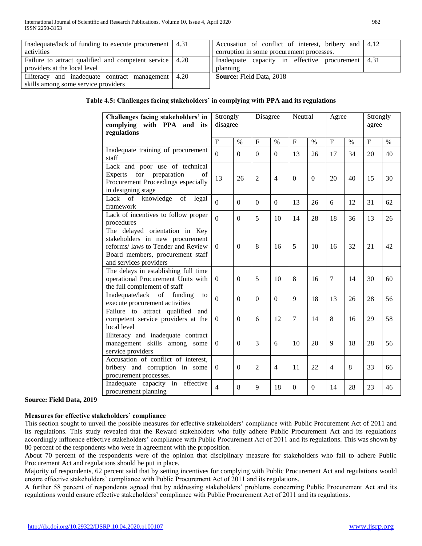| Inadequate/lack of funding to execute procurement   4.31  |      | Accusation of conflict of interest, bribery and 4.12 |  |
|-----------------------------------------------------------|------|------------------------------------------------------|--|
| activities                                                |      | corruption in some procurement processes.            |  |
| Failure to attract qualified and competent service   4.20 |      | Inadequate capacity in effective procurement 4.31    |  |
| providers at the local level                              |      | planning                                             |  |
| Illiteracy and inadequate contract management             | 4.20 | <b>Source:</b> Field Data, 2018                      |  |
| skills among some service providers                       |      |                                                      |  |

# **Table 4.5: Challenges facing stakeholders' in complying with PPA and its regulations**

| Challenges facing stakeholders' in<br>complying with PPA and its<br>regulations                                                                                       | Strongly<br>disagree |              | Disagree       |                | Neutral                   |              | Agree          |    | Strongly<br>agree |      |
|-----------------------------------------------------------------------------------------------------------------------------------------------------------------------|----------------------|--------------|----------------|----------------|---------------------------|--------------|----------------|----|-------------------|------|
|                                                                                                                                                                       | $\mathbf{F}$         | $\%$         | $\mathbf F$    | $\%$           | $\boldsymbol{\mathrm{F}}$ | $\%$         | F              | %  | $\mathbf F$       | $\%$ |
| Inadequate training of procurement<br>staff                                                                                                                           | $\Omega$             | $\Omega$     | $\Omega$       | $\Omega$       | 13                        | 26           | 17             | 34 | 20                | 40   |
| Lack and poor use of technical<br>for<br>preparation<br>Experts<br>of<br>Procurement Proceedings especially<br>in designing stage                                     | 13                   | 26           | $\overline{2}$ | $\overline{4}$ | $\mathbf{0}$              | $\Omega$     | 20             | 40 | 15                | 30   |
| Lack of knowledge<br>of<br>legal<br>framework                                                                                                                         | $\overline{0}$       | $\Omega$     | $\Omega$       | $\Omega$       | 13                        | 26           | 6              | 12 | 31                | 62   |
| Lack of incentives to follow proper<br>procedures                                                                                                                     | $\Omega$             | $\Omega$     | 5              | 10             | 14                        | 28           | 18             | 36 | 13                | 26   |
| The delayed orientation in Key<br>stakeholders in new procurement<br>reforms/ laws to Tender and Review<br>Board members, procurement staff<br>and services providers | $\Omega$             | $\theta$     | 8              | 16             | 5                         | 10           | 16             | 32 | 21                | 42   |
| The delays in establishing full time<br>operational Procurement Units with<br>the full complement of staff                                                            | $\overline{0}$       | $\Omega$     | 5              | 10             | 8                         | 16           | $\overline{7}$ | 14 | 30                | 60   |
| Inadequate/lack<br>of<br>funding<br>to<br>execute procurement activities                                                                                              | $\Omega$             | $\Omega$     | $\Omega$       | $\Omega$       | 9                         | 18           | 13             | 26 | 28                | 56   |
| Failure to attract qualified and<br>competent service providers at the<br>local level                                                                                 | $\Omega$             | $\Omega$     | 6              | 12             | 7                         | 14           | 8              | 16 | 29                | 58   |
| Illiteracy and inadequate contract<br>management skills among some<br>service providers                                                                               | $\Omega$             | $\Omega$     | 3              | 6              | 10                        | 20           | 9              | 18 | 28                | 56   |
| Accusation of conflict of interest,<br>bribery and corruption in some<br>procurement processes.                                                                       | $\overline{0}$       | $\mathbf{0}$ | $\overline{2}$ | $\overline{4}$ | 11                        | 22           | $\overline{4}$ | 8  | 33                | 66   |
| Inadequate capacity in<br>effective<br>procurement planning                                                                                                           | $\overline{4}$       | 8            | 9              | 18             | $\mathbf{0}$              | $\mathbf{0}$ | 14             | 28 | 23                | 46   |

## **Source: Field Data, 2019**

# **Measures for effective stakeholders' compliance**

This section sought to unveil the possible measures for effective stakeholders' compliance with Public Procurement Act of 2011 and its regulations. This study revealed that the Reward stakeholders who fully adhere Public Procurement Act and its regulations accordingly influence effective stakeholders' compliance with Public Procurement Act of 2011 and its regulations. This was shown by 80 percent of the respondents who were in agreement with the proposition.

About 70 percent of the respondents were of the opinion that disciplinary measure for stakeholders who fail to adhere Public Procurement Act and regulations should be put in place.

Majority of respondents, 62 percent said that by setting incentives for complying with Public Procurement Act and regulations would ensure effective stakeholders' compliance with Public Procurement Act of 2011 and its regulations.

A further 58 percent of respondents agreed that by addressing stakeholders' problems concerning Public Procurement Act and its regulations would ensure effective stakeholders' compliance with Public Procurement Act of 2011 and its regulations.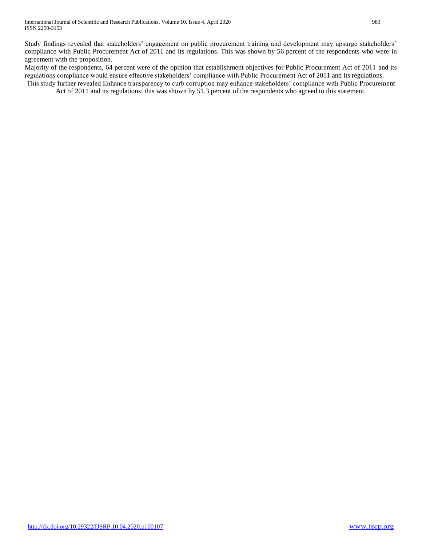Study findings revealed that stakeholders' engagement on public procurement training and development may upsurge stakeholders' compliance with Public Procurement Act of 2011 and its regulations. This was shown by 56 percent of the respondents who were in agreement with the proposition.

Majority of the respondents, 64 percent were of the opinion that establishment objectives for Public Procurement Act of 2011 and its regulations compliance would ensure effective stakeholders' compliance with Public Procurement Act of 2011 and its regulations. This study further revealed Enhance transparency to curb corruption may enhance stakeholders' compliance with Public Procurement

Act of 2011 and its regulations; this was shown by 51.3 percent of the respondents who agreed to this statement.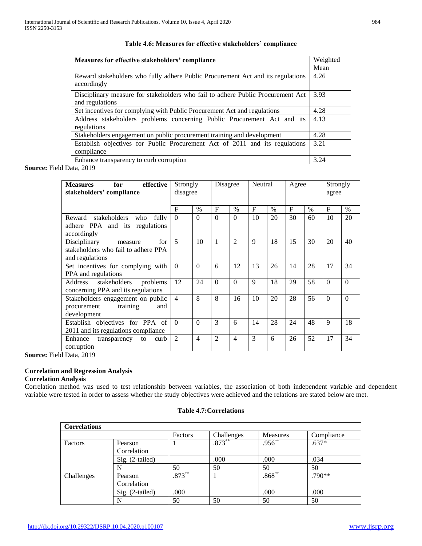| Measures for effective stakeholders' compliance                                                    | Weighted |  |  |  |  |  |  |
|----------------------------------------------------------------------------------------------------|----------|--|--|--|--|--|--|
|                                                                                                    | Mean     |  |  |  |  |  |  |
| Reward stakeholders who fully adhere Public Procurement Act and its regulations<br>accordingly     |          |  |  |  |  |  |  |
| Disciplinary measure for stakeholders who fail to adhere Public Procurement Act<br>and regulations |          |  |  |  |  |  |  |
| Set incentives for complying with Public Procurement Act and regulations                           | 4.28     |  |  |  |  |  |  |
| Address stakeholders problems concerning Public Procurement Act and its<br>regulations             | 4.13     |  |  |  |  |  |  |
| Stakeholders engagement on public procurement training and development                             | 4.28     |  |  |  |  |  |  |
| Establish objectives for Public Procurement Act of 2011 and its regulations<br>compliance          | 3.21     |  |  |  |  |  |  |
| Enhance transparency to curb corruption                                                            | 3.24     |  |  |  |  |  |  |

## **Table 4.6: Measures for effective stakeholders' compliance**

**Source:** Field Data, 2019

| for<br>effective<br><b>Measures</b><br>stakeholders' compliance                          | Strongly<br>disagree |                | Disagree       |                | Neutral |      | Agree     |      | Strongly<br>agree |          |
|------------------------------------------------------------------------------------------|----------------------|----------------|----------------|----------------|---------|------|-----------|------|-------------------|----------|
|                                                                                          | $\mathbf F$          | $\%$           | F              | $\%$           | F       | $\%$ | $F_{\rm}$ | $\%$ | F                 | $\%$     |
| Reward stakeholders<br>who<br>fully<br>adhere PPA and its regulations<br>accordingly     | $\Omega$             | $\Omega$       | $\Omega$       | $\Omega$       | 10      | 20   | 30        | 60   | 10                | 20       |
| for<br>Disciplinary<br>measure<br>stakeholders who fail to adhere PPA<br>and regulations | $\overline{5}$       | 10             | 1              | $\overline{2}$ | 9       | 18   | 15        | 30   | 20                | 40       |
| Set incentives for complying with<br>PPA and regulations                                 | $\theta$             | $\Omega$       | 6              | 12             | 13      | 26   | 14        | 28   | 17                | 34       |
| stakeholders<br>Address<br>problems<br>concerning PPA and its regulations                | 12                   | 24             | $\Omega$       | $\Omega$       | 9       | 18   | 29        | 58   | $\Omega$          | $\Omega$ |
| Stakeholders engagement on public<br>procurement<br>training<br>and<br>development       | $\overline{4}$       | 8              | 8              | 16             | 10      | 20   | 28        | 56   | $\Omega$          | $\Omega$ |
| Establish objectives for PPA of<br>2011 and its regulations compliance                   | $\theta$             | $\Omega$       | 3              | 6              | 14      | 28   | 24        | 48   | 9                 | 18       |
| Enhance<br>curb<br>to<br>transparency<br>corruption                                      | $\mathcal{L}$        | $\overline{4}$ | $\mathfrak{D}$ | $\overline{4}$ | 3       | 6    | 26        | 52   | 17                | 34       |

**Source:** Field Data, 2019

# **Correlation and Regression Analysis**

# **Correlation Analysis**

Correlation method was used to test relationship between variables, the association of both independent variable and dependent variable were tested in order to assess whether the study objectives were achieved and the relations are stated below are met.

| <b>Correlations</b> |                 |           |            |                 |            |
|---------------------|-----------------|-----------|------------|-----------------|------------|
|                     |                 | Factors   | Challenges | <b>Measures</b> | Compliance |
| Factors             | Pearson         |           | $.873***$  | $.956^{**}$     | $.637*$    |
|                     | Correlation     |           |            |                 |            |
|                     | Sig. (2-tailed) |           | .000       | .000            | .034       |
|                     | N               | 50        | 50         | 50              | 50         |
| Challenges          | Pearson         | $.873***$ |            | $.868^{**}$     | $.790**$   |
|                     | Correlation     |           |            |                 |            |
|                     | Sig. (2-tailed) | .000      |            | .000            | .000       |
|                     |                 | 50        | 50         | 50              | 50         |

## **Table 4.7:Correlations**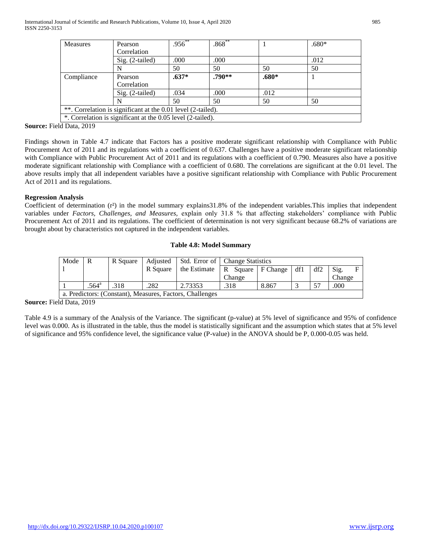| Measures                                                     | Pearson           | $.956^{**}$ | $.868***$ |       | $.680*$ |  |  |  |  |
|--------------------------------------------------------------|-------------------|-------------|-----------|-------|---------|--|--|--|--|
|                                                              | Correlation       |             |           |       |         |  |  |  |  |
|                                                              | Sig. (2-tailed)   | .000        | .000      |       | .012    |  |  |  |  |
|                                                              | N                 | 50          | 50        | 50    | 50      |  |  |  |  |
| Compliance                                                   | Pearson           | $.637*$     | $.790**$  | .680* |         |  |  |  |  |
|                                                              | Correlation       |             |           |       |         |  |  |  |  |
|                                                              | $Sig.$ (2-tailed) | .034        | .000      | .012  |         |  |  |  |  |
|                                                              | N                 | 50          | 50        | 50    | 50      |  |  |  |  |
| **. Correlation is significant at the 0.01 level (2-tailed). |                   |             |           |       |         |  |  |  |  |
| *. Correlation is significant at the 0.05 level (2-tailed).  |                   |             |           |       |         |  |  |  |  |

**Source:** Field Data, 2019

Findings shown in Table 4.7 indicate that Factors has a positive moderate significant relationship with Compliance with Public Procurement Act of 2011 and its regulations with a coefficient of 0.637. Challenges have a positive moderate significant relationship with Compliance with Public Procurement Act of 2011 and its regulations with a coefficient of 0.790. Measures also have a positive moderate significant relationship with Compliance with a coefficient of 0.680. The correlations are significant at the 0.01 level. The above results imply that all independent variables have a positive significant relationship with Compliance with Public Procurement Act of 2011 and its regulations.

# **Regression Analysis**

Coefficient of determination  $(r^2)$  in the model summary explains 31.8% of the independent variables. This implies that independent variables under *Factors, Challenges, and Measures,* explain only 31.8 % that affecting stakeholders' compliance with Public Procurement Act of 2011 and its regulations. The coefficient of determination is not very significant because 68.2% of variations are brought about by characteristics not captured in the independent variables.

# **Table 4.8: Model Summary**

| Mode | R                   | R Square |          |                                                          | Adjusted   Std. Error of   Change Statistics |       |  |     |        |  |
|------|---------------------|----------|----------|----------------------------------------------------------|----------------------------------------------|-------|--|-----|--------|--|
|      |                     |          | R Square | the Estimate                                             | R Square   F Change   df1                    |       |  | df2 | Sig.   |  |
|      |                     |          |          |                                                          | Change                                       |       |  |     | Change |  |
|      | $.564$ <sup>a</sup> | .318     | .282     | 2.73353                                                  | .318                                         | 8.867 |  | 57  | .000   |  |
|      |                     |          |          | a. Predictors: (Constant), Measures, Factors, Challenges |                                              |       |  |     |        |  |

**Source:** Field Data, 2019

Table 4.9 is a summary of the Analysis of the Variance. The significant (p-value) at 5% level of significance and 95% of confidence level was 0.000. As is illustrated in the table, thus the model is statistically significant and the assumption which states that at 5% level of significance and 95% confidence level, the significance value (P-value) in the ANOVA should be P, 0.000-0.05 was held.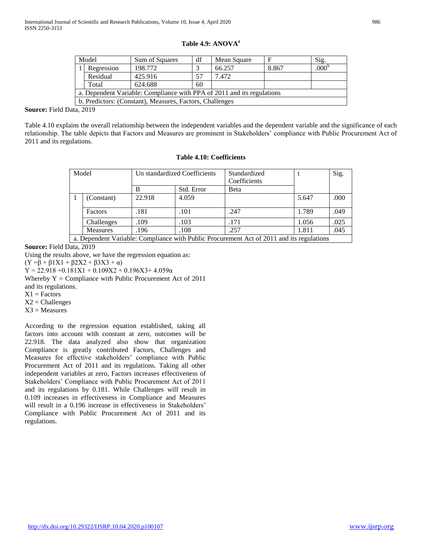|  |  | Table 4.9: ANOVA <sup>a</sup> |  |
|--|--|-------------------------------|--|
|--|--|-------------------------------|--|

| Model                                                                  | Sum of Squares                                           | df | Mean Square |       | Sig.              |  |  |  |  |
|------------------------------------------------------------------------|----------------------------------------------------------|----|-------------|-------|-------------------|--|--|--|--|
| Regression                                                             | 198,772                                                  |    | 66.257      | 8.867 | .000 <sup>b</sup> |  |  |  |  |
| Residual                                                               | 425.916                                                  | 57 | 7.472       |       |                   |  |  |  |  |
| Total                                                                  | 624.688                                                  | 60 |             |       |                   |  |  |  |  |
| a. Dependent Variable: Compliance with PPA of 2011 and its regulations |                                                          |    |             |       |                   |  |  |  |  |
|                                                                        | b. Predictors: (Constant), Measures, Factors, Challenges |    |             |       |                   |  |  |  |  |

**Source:** Field Data, 2019

Table 4.10 explains the overall relationship between the independent variables and the dependent variable and the significance of each relationship. The table depicts that Factors and Measures are prominent in Stakeholders' compliance with Public Procurement Act of 2011 and its regulations.

| <b>Table 4.10: Coefficients</b> |
|---------------------------------|
|                                 |

| Model |                 | Un standardized Coefficients |            | Standardized<br>Coefficients                                                              |       | Sig. |
|-------|-----------------|------------------------------|------------|-------------------------------------------------------------------------------------------|-------|------|
|       |                 | в                            | Std. Error | Beta                                                                                      |       |      |
|       | (Constant)      | 22.918                       | 4.059      |                                                                                           | 5.647 | .000 |
|       | Factors         | .181                         | .101       | .247                                                                                      | 1.789 | .049 |
|       | Challenges      | .109                         | .103       | .171                                                                                      | 1.056 | .025 |
|       | <b>Measures</b> | .196                         | .108       | .257                                                                                      | 1.811 | .045 |
|       |                 |                              |            | a. Dependent Variable: Compliance with Public Procurement Act of 2011 and its regulations |       |      |

**Source:** Field Data, 2019

Using the results above, we have the regression equation as:

(Y = β + β1X1 + β2X2 + β3X3 + α)

 $Y = 22.918 + 0.181X1 + 0.109X2 + 0.196X3 + 4.059\alpha$ 

Whereby  $Y =$  Compliance with Public Procurement Act of 2011

and its regulations.

 $X1 =$  Factors

 $X2 =$ Challenges

 $X3$  = Measures

According to the regression equation established, taking all factors into account with constant at zero, outcomes will be 22.918. The data analyzed also show that organization Compliance is greatly contributed Factors, Challenges and Measures for effective stakeholders' compliance with Public Procurement Act of 2011 and its regulations. Taking all other independent variables at zero, Factors increases effectiveness of Stakeholders' Compliance with Public Procurement Act of 2011 and its regulations by 0.181. While Challenges will result in 0.109 increases in effectiveness in Compliance and Measures will result in a 0.196 increase in effectiveness in Stakeholders' Compliance with Public Procurement Act of 2011 and its regulations.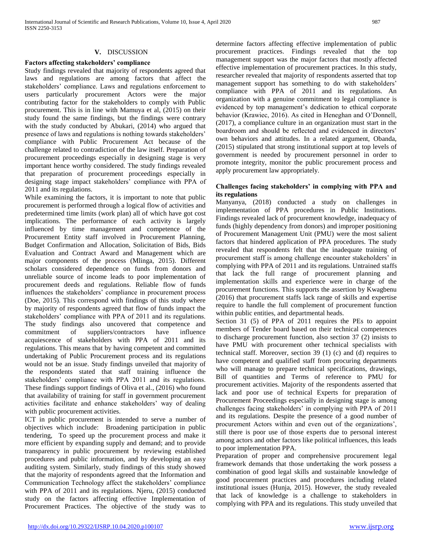## **V.** DISCUSSION

## **Factors affecting stakeholders' compliance**

Study findings revealed that majority of respondents agreed that laws and regulations are among factors that affect the stakeholders' compliance. Laws and regulations enforcement to users particularly procurement Actors were the major contributing factor for the stakeholders to comply with Public procurement. This is in line with Mamuya et al, (2015) on their study found the same findings, but the findings were contrary with the study conducted by Abukari, (2014) who argued that presence of laws and regulations is nothing towards stakeholders' compliance with Public Procurement Act because of the challenge related to contradiction of the law itself. Preparation of procurement proceedings especially in designing stage is very important hence worthy considered. The study findings revealed that preparation of procurement proceedings especially in designing stage impact stakeholders' compliance with PPA of 2011 and its regulations.

While examining the factors, it is important to note that public procurement is performed through a logical flow of activities and predetermined time limits (work plan) all of which have got cost implications. The performance of each activity is largely influenced by time management and competence of the Procurement Entity staff involved in Procurement Planning, Budget Confirmation and Allocation, Solicitation of Bids, Bids Evaluation and Contract Award and Management which are major components of the process (Mlinga, 2015). Different scholars considered dependence on funds from donors and unreliable source of income leads to poor implementation of procurement deeds and regulations. Reliable flow of funds influences the stakeholders' compliance in procurement process (Doe, 2015). This correspond with findings of this study where by majority of respondents agreed that flow of funds impact the stakeholders' compliance with PPA of 2011 and its regulations. The study findings also uncovered that competence and commitment of suppliers/contractors have influence acquiescence of stakeholders with PPA of 2011 and its regulations. This means that by having competent and committed undertaking of Public Procurement process and its regulations would not be an issue. Study findings unveiled that majority of the respondents stated that staff training influence the stakeholders' compliance with PPA 2011 and its regulations. These findings support findings of Oliva et al., (2016) who found that availability of training for staff in government procurement activities facilitate and enhance stakeholders' way of dealing with public procurement activities.

ICT in public procurement is intended to serve a number of objectives which include: Broadening participation in public tendering, To speed up the procurement process and make it more efficient by expanding supply and demand; and to provide transparency in public procurement by reviewing established procedures and public information, and by developing an easy auditing system. Similarly, study findings of this study showed that the majority of respondents agreed that the Information and Communication Technology affect the stakeholders' compliance with PPA of 2011 and its regulations. Njeru, (2015) conducted study on the factors affecting effective Implementation of Procurement Practices. The objective of the study was to

determine factors affecting effective implementation of public procurement practices. Findings revealed that the top management support was the major factors that mostly affected effective implementation of procurement practices. In this study, researcher revealed that majority of respondents asserted that top management support has something to do with stakeholders' compliance with PPA of 2011 and its regulations. An organization with a genuine commitment to legal compliance is evidenced by top management's dedication to ethical corporate behavior (Krawiec, 2016). As cited in Heneghan and O'Donnell, (2017), a compliance culture in an organization must start in the boardroom and should be reflected and evidenced in directors' own behaviors and attitudes. In a related argument, Obanda, (2015) stipulated that strong institutional support at top levels of government is needed by procurement personnel in order to promote integrity, monitor the public procurement process and apply procurement law appropriately.

## **Challenges facing stakeholders' in complying with PPA and its regulations**

Manyanya, (2018) conducted a study on challenges in implementation of PPA procedures in Public Institutions. Findings revealed lack of procurement knowledge, inadequacy of funds (highly dependency from donors) and improper positioning of Procurement Management Unit (PMU) were the most salient factors that hindered application of PPA procedures. The study revealed that respondents felt that the inadequate training of procurement staff is among challenge encounter stakeholders' in complying with PPA of 2011 and its regulations. Untrained staffs that lack the full range of procurement planning and implementation skills and experience were in charge of the procurement functions. This supports the assertion by Kwagbenu (2016) that procurement staffs lack range of skills and expertise require to handle the full complement of procurement function within public entities, and departmental heads.

Section 31 (5) of PPA of 2011 requires the PEs to appoint members of Tender board based on their technical competences to discharge procurement function, also section 37 (2) insists to have PMU with procurement other technical specialists with technical staff. Moreover, section 39 (1) (c) and (d) requires to have competent and qualified staff from procuring departments who will manage to prepare technical specifications, drawings, Bill of quantities and Terms of reference to PMU for procurement activities. Majority of the respondents asserted that lack and poor use of technical Experts for preparation of Procurement Proceedings especially in designing stage is among challenges facing stakeholders' in complying with PPA of 2011 and its regulations. Despite the presence of a good number of procurement Actors within and even out of the organizations', still there is poor use of those experts due to personal interest among actors and other factors like political influences, this leads to poor implementation PPA.

Preparation of proper and comprehensive procurement legal framework demands that those undertaking the work possess a combination of good legal skills and sustainable knowledge of good procurement practices and procedures including related institutional issues (Hunja, 2015). However, the study revealed that lack of knowledge is a challenge to stakeholders in complying with PPA and its regulations. This study unveiled that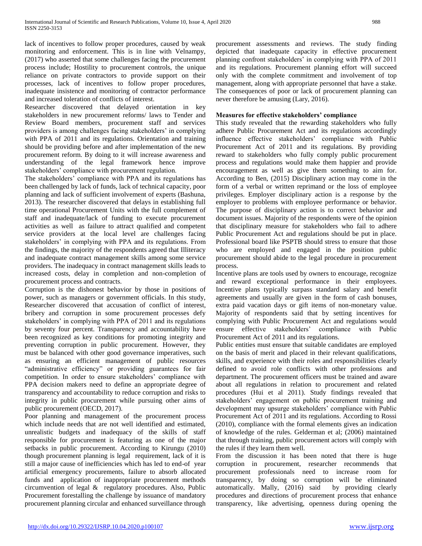lack of incentives to follow proper procedures, caused by weak monitoring and enforcement. This is in line with Velnampy, (2017) who asserted that some challenges facing the procurement process include; Hostility to procurement controls, the unique reliance on private contractors to provide support on their processes, lack of incentives to follow proper procedures, inadequate insistence and monitoring of contractor performance and increased toleration of conflicts of interest.

Researcher discovered that delayed orientation in key stakeholders in new procurement reforms/ laws to Tender and Review Board members, procurement staff and services providers is among challenges facing stakeholders' in complying with PPA of 2011 and its regulations. Orientation and training should be providing before and after implementation of the new procurement reform. By doing to it will increase awareness and understanding of the legal framework hence improve stakeholders' compliance with procurement regulation.

The stakeholders' compliance with PPA and its regulations has been challenged by lack of funds, lack of technical capacity, poor planning and lack of sufficient involvement of experts (Bashuna, 2013). The researcher discovered that delays in establishing full time operational Procurement Units with the full complement of staff and inadequate/lack of funding to execute procurement activities as well as failure to attract qualified and competent service providers at the local level are challenges facing stakeholders' in complying with PPA and its regulations. From the findings, the majority of the respondents agreed that Illiteracy and inadequate contract management skills among some service providers. The inadequacy in contract management skills leads to increased costs, delay in completion and non-completion of procurement process and contracts.

Corruption is the dishonest behavior by those in positions of power, such as managers or government officials. In this study, Researcher discovered that accusation of conflict of interest, bribery and corruption in some procurement processes defy stakeholders' in complying with PPA of 2011 and its regulations by seventy four percent. Transparency and accountability have been recognized as key conditions for promoting integrity and preventing corruption in public procurement. However, they must be balanced with other good governance imperatives, such as ensuring an efficient management of public resources "administrative efficiency" or providing guarantees for fair competition. In order to ensure stakeholders' compliance with PPA decision makers need to define an appropriate degree of transparency and accountability to reduce corruption and risks to integrity in public procurement while pursuing other aims of public procurement (OECD, 2017).

Poor planning and management of the procurement process which include needs that are not well identified and estimated, unrealistic budgets and inadequacy of the skills of staff responsible for procurement is featuring as one of the major setbacks in public procurement. According to Kirungu (2010) though procurement planning is legal requirement, lack of it is still a major cause of inefficiencies which has led to end-of year artificial emergency procurements, failure to absorb allocated funds and application of inappropriate procurement methods circumvention of legal & regulatory procedures. Also, Public Procurement forestalling the challenge by issuance of mandatory procurement planning circular and enhanced surveillance through procurement assessments and reviews. The study finding depicted that inadequate capacity in effective procurement planning confront stakeholders' in complying with PPA of 2011 and its regulations. Procurement planning effort will succeed only with the complete commitment and involvement of top management, along with appropriate personnel that have a stake. The consequences of poor or lack of procurement planning can never therefore be amusing (Lary, 2016).

# **Measures for effective stakeholders' compliance**

This study revealed that the rewarding stakeholders who fully adhere Public Procurement Act and its regulations accordingly influence effective stakeholders' compliance with Public Procurement Act of 2011 and its regulations. By providing reward to stakeholders who fully comply public procurement process and regulations would make them happier and provide encouragement as well as give them something to aim for. According to Ben, (2015) Disciplinary action may come in the form of a verbal or written reprimand or the loss of employee privileges. Employer disciplinary action is a response by the employer to problems with employee performance or behavior. The purpose of disciplinary action is to correct behavior and document issues. Majority of the respondents were of the opinion that disciplinary measure for stakeholders who fail to adhere Public Procurement Act and regulations should be put in place. Professional board like PSPTB should stress to ensure that those who are employed and engaged in the position public procurement should abide to the legal procedure in procurement process.

Incentive plans are tools used by owners to encourage, recognize and reward exceptional performance in their employees. Incentive plans typically surpass standard salary and benefit agreements and usually are given in the form of cash bonuses, extra paid vacation days or gift items of non-monetary value. Majority of respondents said that by setting incentives for complying with Public Procurement Act and regulations would ensure effective stakeholders' compliance with Public Procurement Act of 2011 and its regulations.

Public entities must ensure that suitable candidates are employed on the basis of merit and placed in their relevant qualifications, skills, and experience with their roles and responsibilities clearly defined to avoid role conflicts with other professions and department. The procurement officers must be trained and aware about all regulations in relation to procurement and related procedures (Hui et al 2011). Study findings revealed that stakeholders' engagement on public procurement training and development may upsurge stakeholders' compliance with Public Procurement Act of 2011 and its regulations. According to Rossi (2010), compliance with the formal elements gives an indication of knowledge of the rules. Gelderman et al; (2006) maintained that through training, public procurement actors will comply with the rules if they learn them well.

From the discussion it has been noted that there is huge corruption in procurement, researcher recommends that procurement professionals need to increase room for transparency, by doing so corruption will be eliminated automatically. Mally, (2016) said by providing clearly procedures and directions of procurement process that enhance transparency, like advertising, openness during opening the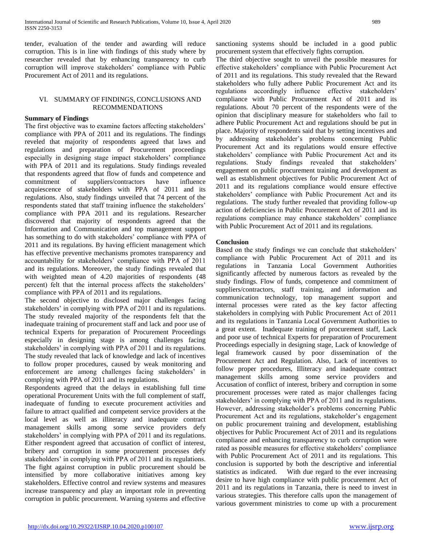tender, evaluation of the tender and awarding will reduce corruption. This is in line with findings of this study where by researcher revealed that by enhancing transparency to curb corruption will improve stakeholders' compliance with Public Procurement Act of 2011 and its regulations.

### VI. SUMMARY OF FINDINGS, CONCLUSIONS AND RECOMMENDATIONS

## **Summary of Findings**

The first objective was to examine factors affecting stakeholders' compliance with PPA of 2011 and its regulations. The findings reveled that majority of respondents agreed that laws and regulations and preparation of Procurement proceedings especially in designing stage impact stakeholders' compliance with PPA of 2011 and its regulations. Study findings revealed that respondents agreed that flow of funds and competence and commitment of suppliers/contractors have influence acquiescence of stakeholders with PPA of 2011 and its regulations. Also, study findings unveiled that 74 percent of the respondents stated that staff training influence the stakeholders' compliance with PPA 2011 and its regulations. Researcher discovered that majority of respondents agreed that the Information and Communication and top management support has something to do with stakeholders' compliance with PPA of 2011 and its regulations. By having efficient management which has effective preventive mechanisms promotes transparency and accountability for stakeholders' compliance with PPA of 2011 and its regulations. Moreover, the study findings revealed that with weighted mean of 4.20 majorities of respondents (48 percent) felt that the internal process affects the stakeholders' compliance with PPA of 2011 and its regulations.

The second objective to disclosed major challenges facing stakeholders' in complying with PPA of 2011 and its regulations. The study revealed majority of the respondents felt that the inadequate training of procurement staff and lack and poor use of technical Experts for preparation of Procurement Proceedings especially in designing stage is among challenges facing stakeholders' in complying with PPA of 2011 and its regulations. The study revealed that lack of knowledge and lack of incentives to follow proper procedures, caused by weak monitoring and enforcement are among challenges facing stakeholders' in complying with PPA of 2011 and its regulations.

Respondents agreed that the delays in establishing full time operational Procurement Units with the full complement of staff, inadequate of funding to execute procurement activities and failure to attract qualified and competent service providers at the local level as well as illiteracy and inadequate contract management skills among some service providers defy stakeholders' in complying with PPA of 2011 and its regulations. Either respondent agreed that accusation of conflict of interest, bribery and corruption in some procurement processes defy stakeholders' in complying with PPA of 2011 and its regulations. The fight against corruption in public procurement should be intensified by more collaborative initiatives among key stakeholders. Effective control and review systems and measures increase transparency and play an important role in preventing corruption in public procurement. Warning systems and effective

sanctioning systems should be included in a good public procurement system that effectively fights corruption.

The third objective sought to unveil the possible measures for effective stakeholders' compliance with Public Procurement Act of 2011 and its regulations. This study revealed that the Reward stakeholders who fully adhere Public Procurement Act and its regulations accordingly influence effective stakeholders' compliance with Public Procurement Act of 2011 and its regulations. About 70 percent of the respondents were of the opinion that disciplinary measure for stakeholders who fail to adhere Public Procurement Act and regulations should be put in place. Majority of respondents said that by setting incentives and by addressing stakeholder's problems concerning Public Procurement Act and its regulations would ensure effective stakeholders' compliance with Public Procurement Act and its regulations. Study findings revealed that stakeholders' engagement on public procurement training and development as well as establishment objectives for Public Procurement Act of 2011 and its regulations compliance would ensure effective stakeholders' compliance with Public Procurement Act and its regulations. The study further revealed that providing follow-up action of deficiencies in Public Procurement Act of 2011 and its regulations compliance may enhance stakeholders' compliance with Public Procurement Act of 2011 and its regulations.

## **Conclusion**

Based on the study findings we can conclude that stakeholders' compliance with Public Procurement Act of 2011 and its regulations in Tanzania Local Government Authorities significantly affected by numerous factors as revealed by the study findings. Flow of funds, competence and commitment of suppliers/contractors, staff training, and information and communication technology, top management support and internal processes were rated as the key factor affecting stakeholders in complying with Public Procurement Act of 2011 and its regulations in Tanzania Local Government Authorities to a great extent. Inadequate training of procurement staff, Lack and poor use of technical Experts for preparation of Procurement Proceedings especially in designing stage, Lack of knowledge of legal framework caused by poor dissemination of the Procurement Act and Regulation. Also, Lack of incentives to follow proper procedures, Illiteracy and inadequate contract management skills among some service providers and Accusation of conflict of interest, bribery and corruption in some procurement processes were rated as major challenges facing stakeholders' in complying with PPA of 2011 and its regulations. However, addressing stakeholder's problems concerning Public Procurement Act and its regulations, stakeholder's engagement on public procurement training and development, establishing objectives for Public Procurement Act of 2011 and its regulations compliance and enhancing transparency to curb corruption were rated as possible measures for effective stakeholders' compliance with Public Procurement Act of 2011 and its regulations. This conclusion is supported by both the descriptive and inferential statistics as indicated. With due regard to the ever increasing desire to have high compliance with public procurement Act of 2011 and its regulations in Tanzania, there is need to invest in various strategies. This therefore calls upon the management of various government ministries to come up with a procurement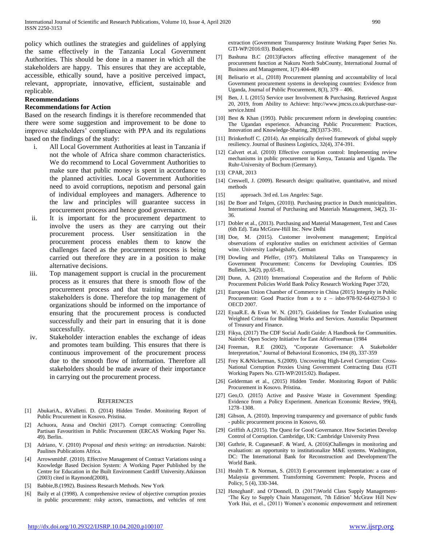policy which outlines the strategies and guidelines of applying the same effectively in the Tanzania Local Government Authorities. This should be done in a manner in which all the stakeholders are happy. This ensures that they are acceptable, accessible, ethically sound, have a positive perceived impact, relevant, appropriate, innovative, efficient, sustainable and replicable.

### **Recommendations**

### **Recommendations for Action**

Based on the research findings it is therefore recommended that there were some suggestion and improvement to be done to improve stakeholders' compliance with PPA and its regulations based on the findings of the study:

- i. All Local Government Authorities at least in Tanzania if not the whole of Africa share common characteristics. We do recommend to Local Government Authorities to make sure that public money is spent in accordance to the planned activities. Local Government Authorities need to avoid corruptions, nepotism and personal gain of individual employees and managers. Adherence to the law and principles will guarantee success in procurement process and hence good governance.
- ii. It is important for the procurement department to involve the users as they are carrying out their procurement process. User sensitization in the procurement process enables them to know the challenges faced as the procurement process is being carried out therefore they are in a position to make alternative decisions.
- iii. Top management support is crucial in the procurement process as it ensures that there is smooth flow of the procurement process and that training for the right stakeholders is done. Therefore the top management of organizations should be informed on the importance of ensuring that the procurement process is conducted successfully and their part in ensuring that it is done successfully.
- iv. Stakeholder interaction enables the exchange of ideas and promotes team building. This ensures that there is continuous improvement of the procurement process due to the smooth flow of information. Therefore all stakeholders should be made aware of their importance in carrying out the procurement process.

#### **REFERENCES**

- [1] AbukariA., &Valletti. D. (2014) Hidden Tender. Monitoring Report of Public Procurement in Kosovo. Pristina.
- [2] Achuora, Arasa and Onchiri (2017). Corrupt contracting: Controlling Partisan Favouritism in Public Procurement (ERCAS Working Paper No. 49). Berlin.
- [3] Adriano, V. (2010) *Proposal and thesis writing: an introduction*. Nairobi: Paulines Publications Africa.
- [4] ArrowsmithF. (2010). Effective Management of Contract Variations using a Knowledge Based Decision System: A Working Paper Published by the Centre for Education in the Built Environment Cardiff University.Atkinson (2003) cited in Raymond(2008),
- [5] Babbie,B.(1992). Business Research Methods. New York
- [6] Baily et al (1998). A comprehensive review of objective corruption proxies in public procurement: risky actors, transactions, and vehicles of rent

extraction (Government Transparency Institute Working Paper Series No. GTI-WP/2016:03). Budapest.

- [7] Bashuna B.C (2013)Factors affecting effective management of the procurement function at Nakuru North SubCounty, International Journal of Business and Management, 1(7) 404-489
- [8] Belisario et al., (2018) Procurement planning and accountability of local Government procurement systems in developing countries: Evidence from Uganda, Journal of Public Procurement, 8(3), 379 – 406.
- [9] Ben, J. L (2015) Service user Involvement & Purchasing. Retrieved August 20, 2019, from Ability to Achieve: http://www.jmcss.co.uk/purchase-ourservice.html
- [10] Best & Khan (1993). Public procurement reform in developing countries: The Ugandan experience. Advancing Public Procurement: Practices, Innovation and Knowledge-Sharing, 28(3)373-391.
- [11] Brinkerhoff C. (2014). An empirically derived framework of global supply resiliency. Journal of Business Logistics, 32(4), 374-391.
- [12] Calvert et.al. (2010) Effective corruption control: Implementing review mechanisms in public procurement in Kenya, Tanzania and Uganda. The Ruhr-University of Bochum (Germany).
- [13] CPAR, 2013
- [14] Creswell, J. (2009). Research design: qualitative, quantitative, and mixed methods
- [15] approach. 3rd ed. Los Angeles: Sage.
- [16] De Boer and Telgen, (2010)). Purchasing practice in Dutch municipalities. International Journal of Purchasing and Materials Management, 34(2), 31- 36.
- [17] Dobler et al., (2013). Purchasing and Material Management, Text and Cases (6th Ed). Tata McGraw-Hill Inc. New Delhi
- [18] Doe, M. (2015). Customer involvement management; Empirical observations of explorative studies on enrichment activities of German wine. University Ludwigshafe, German
- [19] Dowling and Pfeffer, (197). Multilateral Talks on Transparency in Government Procurement: Concerns for Developing Countries. IDS Bulletin, 34(2), pp.65-81.
- [20] Dunn, A. (2010) International Cooperation and the Reform of Public Procurement Policies World Bank Policy Research Working Paper 3720,
- [21] European Union Chamber of Commerce in China (2015) Integrity in Public Procurement: Good Practice from a to z – isbn-978-92-64-02750-3 © OECD 2007.
- [22] EyaaR.E. & Evan W. N. (2017). Guidelines for Tender Evaluation using Weighted Criteria for Building Works and Services. Australia: Department of Treasury and Finance.
- [23] Fikya, (2017) The CDF Social Audit Guide: A Handbook for Communities. Nairobi: Open Society Initiative for East AfricaFreeman (1984
- [24] Freeman, R.E (2002), "Corporate Governance: A Stakeholder Interpretation," Journal of Behavioral Economics, 194 (8), 337-359
- [25] Frey K.&Nickerman, S.(2009). Uncovering High-Level Corruption: Cross-National Corruption Proxies Using Government Contracting Data (GTI Working Papers No. GTI-WP/2015:02). Budapest.
- [26] Gelderman et al., (2015) Hidden Tender. Monitoring Report of Public Procurement in Kosovo. Pristina.
- [27] Geo,O. (2015) Active and Passive Waste in Government Spending: Evidence from a Policy Experiment. American Economic Review, 99(4), 1278–1308.
- [28] Gibson, A. (2010). Improving transparency and governance of public funds - public procurement process in Kosovo, 60.
- [29] Griffith A.(2015). The Quest for Good Governance. How Societies Develop Control of Corruption. Cambridge, UK: Cambridge University Press
- [30] Guthrie, R. CuganesanF. & Ward, A. (2016)Challenges in monitoring and evaluation: an opportunity to institutionalize M&E systems. Washington, DC: The International Bank for Reconstruction and Development/The World Bank.
- [31] Health T. & Norman, S. (2013) E-procurement implementation: a case of Malaysia government. Transforming Government: People, Process and Policy, 5 (4), 330-344.
- [32] HeneghanF. and O'Donnell, D. (2017)World Class Supply Management-'The Key to Supply Chain Management, 7th Edition' McGraw Hill New York Hui, et el., (2011) Women's economic empowerment and retirement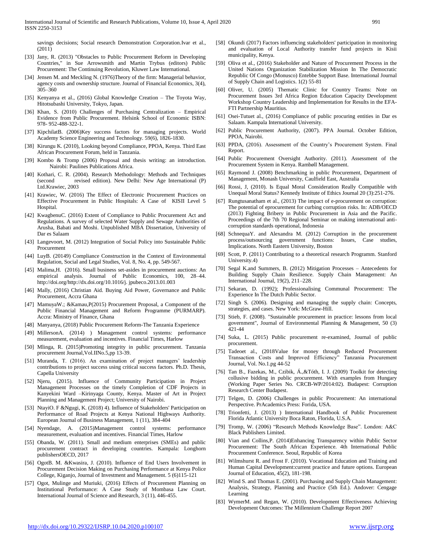savings decisions; Social research Demonstration Corporation.Ivar et al., (2011)

- [33] Jany, R. (2013) "Obstacles to Public Procurement Reform in Developing Countries," in Sue Arrowsmith and Martin Trybus (editors) Public Procurement: The Continuing Revolution, Kluwer Law International.
- [34] Jensen M. and Meckling N. (1976)Theory of the firm: Managerial behavior, agency costs and ownership structure. Journal of Financial Economics, 3(4), 305–360
- [35] Kenyanya et al., (2016) Global Knowledge Creation The Toyota Way, Hitotsubashi University, Tokyo, Japan.
- [36] Khan, S. (2010) Challenges of Purchasing Centralization Empirical Evidence from Public Procurement. Helsink School of Economic ISBN: 978- 952-488-322-1.
- [37] KipchilatB. (2006)Key success factors for managing projects. World Academy Science Engineering and Technology. 59(6), 1826-1830.
- [38] Kirungu K. (2010), Looking beyond Compliance, PPOA, Kenya. Third East African Procurement Forum, held in Tanzania.
- [39] Kombo & Tromp (2006) Proposal and thesis writing: an introduction. Nairobi: Paulines Publications Africa.
- [40] Kothari, C. R. (2004). Research Methodology: Methods and Techniques (second revised edition). New Delhi: New Age International (P) Ltd.Krawiec, 2003
- [41] Krawiec, W. (2016) The Effect of Electronic Procurement Practices on Effective Procurement in Public Hospitals: A Case of KISII Level 5 Hospital.
- [42] KwagbenuC. (2016) Extent of Compliance to Public Procurement Act and Regulations. A survey of selected Water Supply and Sewage Authorities of Arusha, Babati and Moshi. Unpublished MBA Dissertation, University of Dar es Salaam
- [43] Langevoort, M. (2012) Integration of Social Policy into Sustainable Public Procurement
- [44] LuyB. (20149) Compliance Construction in the Context of Environmental Regulation, Social and Legal Studies, Vol. 8, No. 4, pp. 549-567.
- [45] Malima,H. (2016). Small business set-asides in procurement auctions: An empirical analysis. Journal of Public Economics, 100, 28–44. http://doi.org/http://dx.doi.org/10.1016/j. jpubeco.2013.01.003
- [46] Mally, (2016) Christian Aid. Buying Aid Power, Governance and Public Procurement, Accra Ghana
- [47] MamuyaW.; &Kamau,P(2015) Procurement Proposal, a Component of the Public Financial Management and Reform Programme (PURMARP). Accra: Ministry of Finance, Ghana
- [48] Manyanya, (2018) Public Procurement Reform-The Tanzania Experience
- [49] MillersonA. (2014) ) Management control systems: performance measurement, evaluation and incentives. Financial Times, Harlow
- [50] Mlinga, R. (2015)Promoting integrity in public procurement. Tanzania procurement Journal,Vol.IINo.5,pp 13-39.
- [51] Muranda, T. (2016). An examination of project managers' leadership contributions to project success using critical success factors. Ph.D. Thesis, Capella University
- [52] Njeru, (2015). Influence of Community Participation in Project Management Processes on the timely Completion of CDF Projects in Kanyekini Ward –Kirinyaga County, Kenya. Master of Art in Project Planning and Management Project; University of Nairobi.
- [53] NtayiO. F &Ngugi, K. (2018) 4). Influence of Stakeholders' Participation on Performance of Road Projects at Kenya National Highways Authority. European Journal of Business Management, 1 (11), 384-404
- [54] Nyendage, A. (2015)Management control systems: performance measurement, evaluation and incentives. Financial Times, Harlow
- [55] Obanda, W. (2011). Small and medium enterprises (SMEs) and public procurement contract in developing countries. Kampala: Longhorn publishersOECD, 2017
- [56] OgotB. M. &Kwasira, J. (2010). Influence of End Users Involvement in Procurement Decision Making on Purchasing Performance at Kenya Police College, Kiganjo, Journal of Investment and Management. 5 (6)115-121
- [57] Ogot, Mulinge and Muriuki, (2016) Effects of Procurement Planning on Institutional Performance: A Case Study of Mombasa Law Court. International Journal of Science and Research, 3 (11), 446-455.
- [58] Okundi (2017) Factors influencing stakeholders' participation in monitoring and evaluation of Local Authority transfer fund projects in Kisii municipality, Kenya.
- [59] Oliva et al., (2016) Stakeholder and Nature of Procurement Process in the United Nations Organization Stabilization Mission In The Democratic Republic Of Congo (Monusco) Entebbe Support Base. International Journal of Supply Chain and Logistics. 1(2) 55-81
- [60] Oliver, U. (2005) Thematic Clinic for Country Teams: Note on Procurement Issues 3rd Africa Region Education Capacity Development Workshop Country Leadership and Implementation for Results in the EFA-FTI Partnership Mauritius.
- [61] Osei-Tutuet al., (2016) Compliance of public procuring entities in Dar es Salaam. Kampala International University.
- [62] Public Procurement Authority, (2007). PPA Journal. October Edition, PPOA, Nairobi.
- [63] PPDA, (2016). Assessment of the Country's Procurement System. Final Report.
- [64] Public Procurement Oversight Authority. (2011). Assessment of the Procurement System in Kenya. Rambøll Management.
- [65] Raymond J. (2008) Benchmarking in public Procurement, Department of Management, Monash University, Caulfield East, Australia
- [66] Rossi, J, (2010). Is Equal Moral Consideration Really Compatible with Unequal Moral Status? Kennedy Institute of Ethics Journal 20 (3):251-276.
- [67] Rungtusanatham et al., (2013) The impact of e-procurement on corruption: The potential of eprocurement for curbing corruption risks. In: ADB/OECD (2013) Fighting Bribery in Public Procurement in Asia and the Pacific. Proceedings of the 7th 70 Regional Seminar on making international anticorruption standards operational, Indonesia
- [68] SchnequaY. and Alexandra M. (2012) Corruption in the procurement process/outsourcing government functions: Issues, Case studies, Implications. North Eastern University, Boston
- [69] Scott, P. (2011) Contributing to a theoretical research Programm. Stanford University.4)
- [70] Segal K.and Summers, B. (2012) Mitigation Processes Antecedents for Building Supply Chain Resilience. Supply Chain Management: An International Journal, 19(2), 211–228.
- [71] Sekaran, D. (1992); Professionalising Communal Procurement: The Experience In The Dutch Public Sector.
- [72] Singh S. (2006). Designing and managing the supply chain: Concepts, strategies, and cases. New York: McGraw-Hill.
- [73] Stieb, F. (2008). "Sustainable procurement in practice: lessons from local government", Journal of Environmental Planning & Management, 50 (3) 421-44
- [74] Suka, L. (2015) Public procurement re-examined, Journal of public procurement.
- [75] Tadeoet al., (2018Value for money through Reduced Procurement Transaction Costs and Improved Efficiency" Tanzania Procurement Journal, Vol. No.1.pg 44-52
- [76] Tan B., Fazekas, M., Czibik, Á.,&Tóth, I. J. (2009) Toolkit for detecting collusive bidding in public procurement. With examples from Hungary (Working Paper Series No. CRCB-WP/2014:02). Budapest: Corruption Research Center Budapest.
- [77] Telgen, D. (2006) Challenges in public Procurement: An international Perspective. PrAcademics Press: Forida, USA.
- [78] Trionfetti, J. (2013) ) International Handbook of Public Procurement Florida Atlantic University Boca Raton, Florida, U.S.A.
- [79] Tromp, W. (2006) "Research Methods Knowledge Base". London: A&C Black Publishers Limited.
- [80] Vian and Collins,P. (2014)Enhancing Transparency within Public Sector Procurement: The South African Experience. 4th International Public Procurement Conference. Seoul, Republic of Korea
- [81] Wilmshurst R. and Frost F. (2010). Vocational Education and Training and Human Capital Development:current practice and future options. European Journal of Education, 45(2), 181-198.
- [82] Wind S. and Thomas E. (2001). Purchasing and Supply Chain Management: Analysis, Strategy, Planning and Practice (5th Ed.). Andover: Cengage Learning
- [83] WymerM. and Regan, W. (2010). Development Effectiveness Achieving Development Outcomes: The Millennium Challenge Report 2007